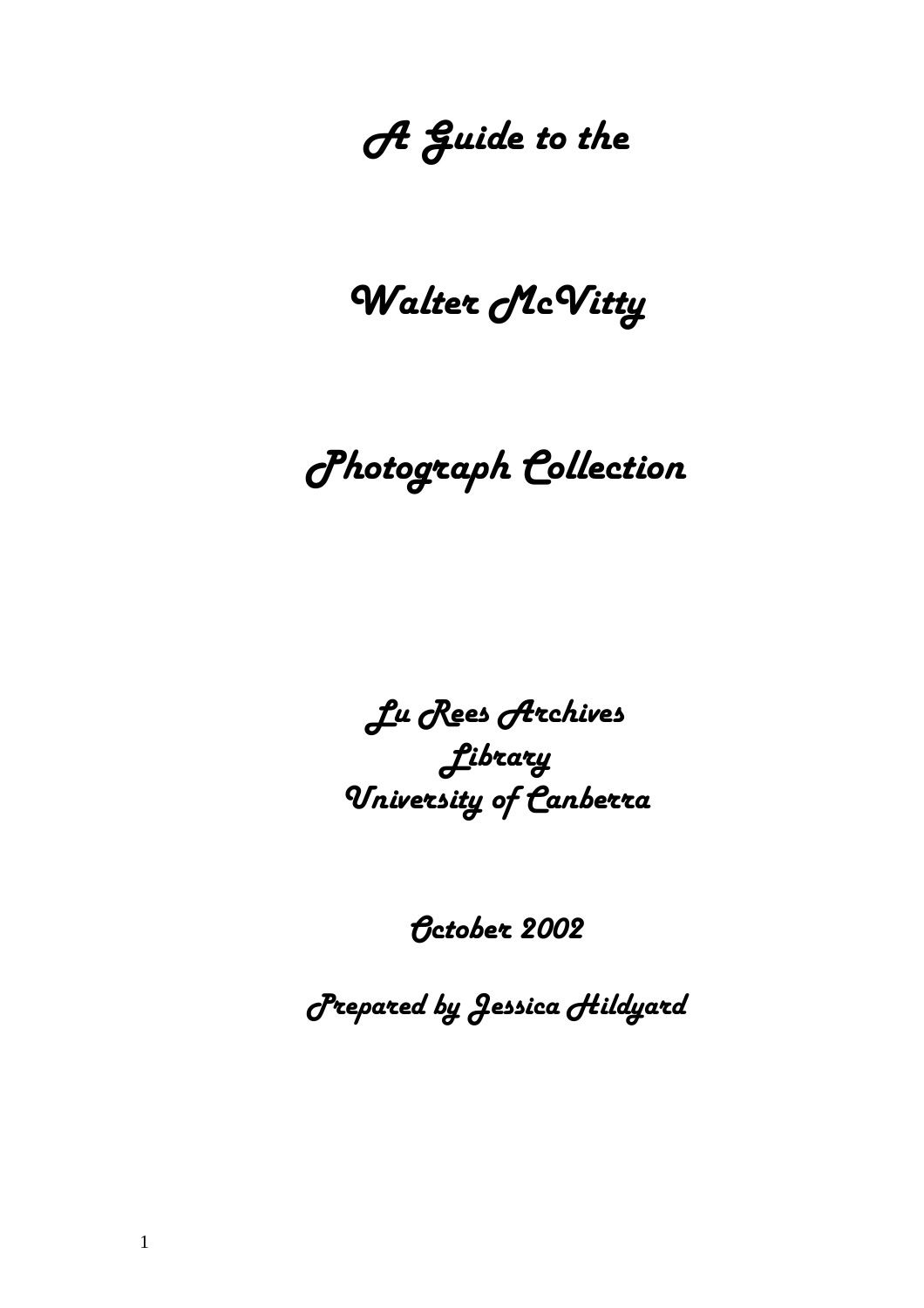# *A Guide to the*

# *Walter McVitty*

# *Photograph Collection*

*Lu Rees Archives Library University of Canberra* 

*October 2002*

*Prepared by Jessica Hildyard*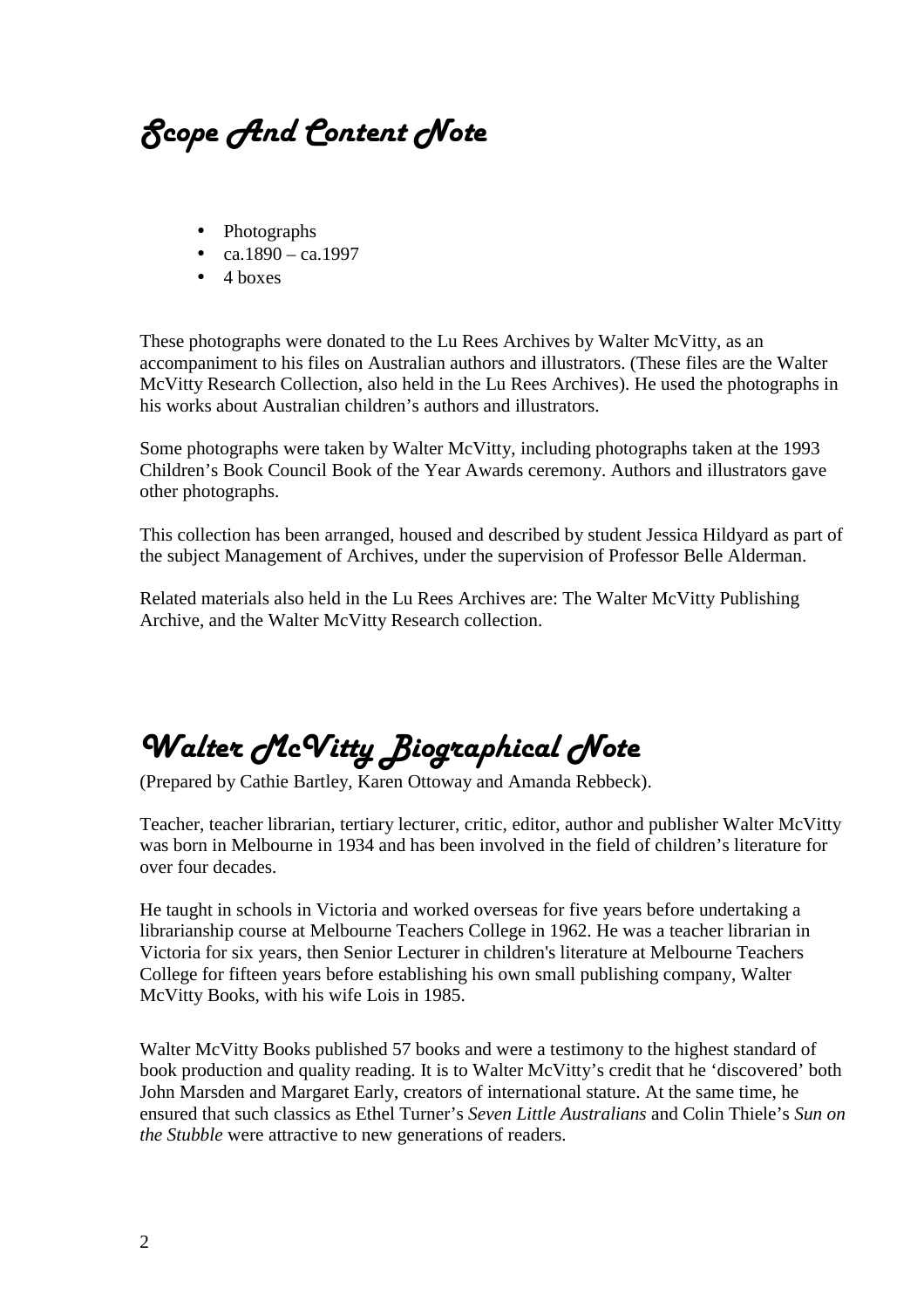*Scope And Content Note* 

- Photographs
- ca.1890 ca.1997
- $\bullet$  4 boxes

These photographs were donated to the Lu Rees Archives by Walter McVitty, as an accompaniment to his files on Australian authors and illustrators. (These files are the Walter McVitty Research Collection, also held in the Lu Rees Archives). He used the photographs in his works about Australian children's authors and illustrators.

Some photographs were taken by Walter McVitty, including photographs taken at the 1993 Children's Book Council Book of the Year Awards ceremony. Authors and illustrators gave other photographs.

This collection has been arranged, housed and described by student Jessica Hildyard as part of the subject Management of Archives, under the supervision of Professor Belle Alderman.

Related materials also held in the Lu Rees Archives are: The Walter McVitty Publishing Archive, and the Walter McVitty Research collection.

## *Walter McVitty Biographical Note*

(Prepared by Cathie Bartley, Karen Ottoway and Amanda Rebbeck).

Teacher, teacher librarian, tertiary lecturer, critic, editor, author and publisher Walter McVitty was born in Melbourne in 1934 and has been involved in the field of children's literature for over four decades.

He taught in schools in Victoria and worked overseas for five years before undertaking a librarianship course at Melbourne Teachers College in 1962. He was a teacher librarian in Victoria for six years, then Senior Lecturer in children's literature at Melbourne Teachers College for fifteen years before establishing his own small publishing company, Walter McVitty Books, with his wife Lois in 1985.

Walter McVitty Books published 57 books and were a testimony to the highest standard of book production and quality reading. It is to Walter McVitty's credit that he 'discovered' both John Marsden and Margaret Early, creators of international stature. At the same time, he ensured that such classics as Ethel Turner's *Seven Little Australians* and Colin Thiele's *Sun on the Stubble* were attractive to new generations of readers.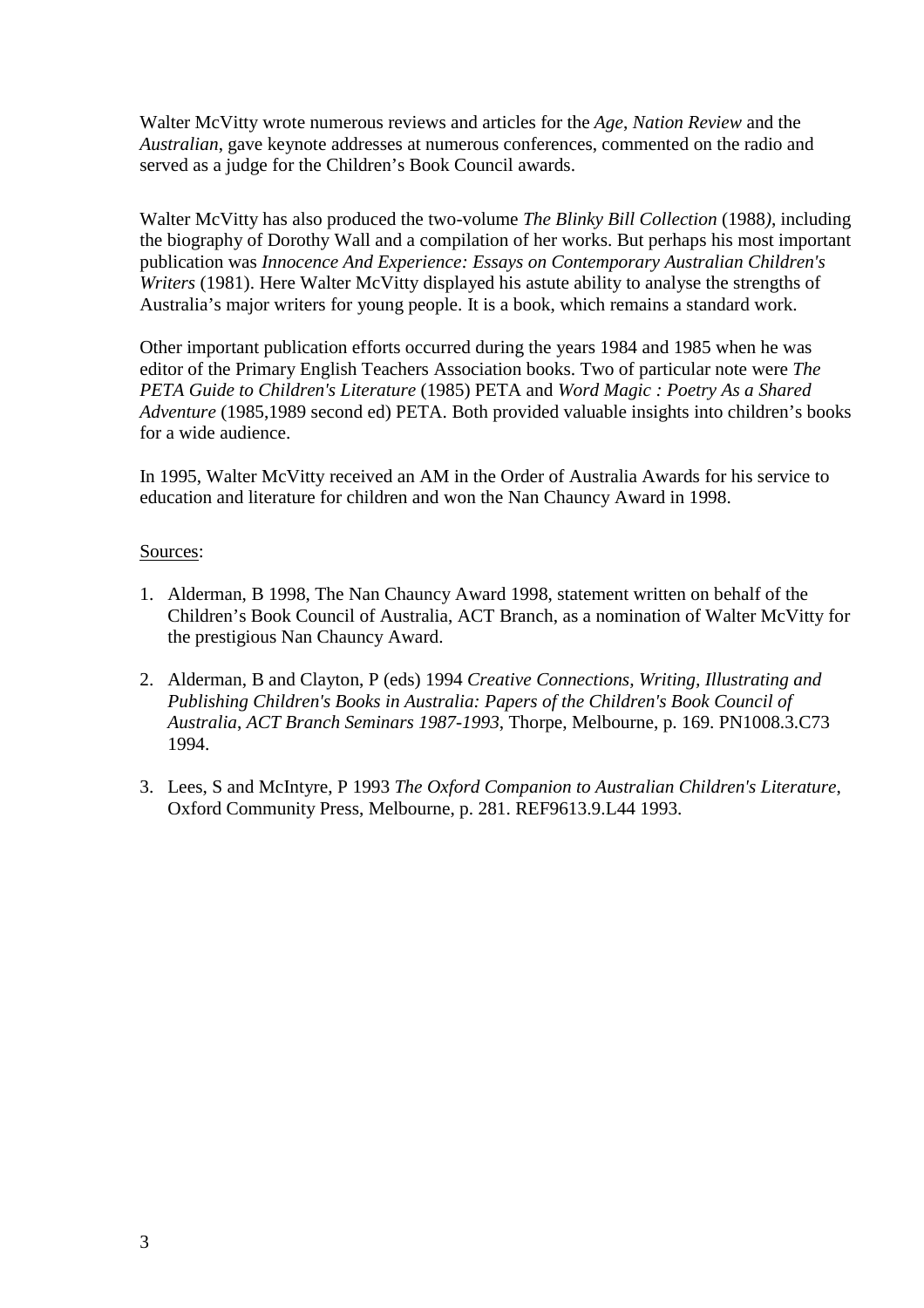Walter McVitty wrote numerous reviews and articles for the *Age*, *Nation Review* and the *Australian*, gave keynote addresses at numerous conferences, commented on the radio and served as a judge for the Children's Book Council awards.

Walter McVitty has also produced the two-volume *The Blinky Bill Collection* (1988*)*, including the biography of Dorothy Wall and a compilation of her works. But perhaps his most important publication was *Innocence And Experience: Essays on Contemporary Australian Children's Writers* (1981). Here Walter McVitty displayed his astute ability to analyse the strengths of Australia's major writers for young people. It is a book, which remains a standard work.

Other important publication efforts occurred during the years 1984 and 1985 when he was editor of the Primary English Teachers Association books. Two of particular note were *The PETA Guide to Children's Literature* (1985) PETA and *Word Magic : Poetry As a Shared Adventure* (1985,1989 second ed) PETA. Both provided valuable insights into children's books for a wide audience.

In 1995, Walter McVitty received an AM in the Order of Australia Awards for his service to education and literature for children and won the Nan Chauncy Award in 1998.

### Sources:

- 1. Alderman, B 1998, The Nan Chauncy Award 1998, statement written on behalf of the Children's Book Council of Australia, ACT Branch, as a nomination of Walter McVitty for the prestigious Nan Chauncy Award.
- 2. Alderman, B and Clayton, P (eds) 1994 *Creative Connections, Writing, Illustrating and Publishing Children's Books in Australia: Papers of the Children's Book Council of Australia*, *ACT Branch Seminars 1987-1993*, Thorpe, Melbourne, p. 169. PN1008.3.C73 1994.
- 3. Lees, S and McIntyre, P 1993 *The Oxford Companion to Australian Children's Literature*, Oxford Community Press, Melbourne, p. 281. REF9613.9.L44 1993.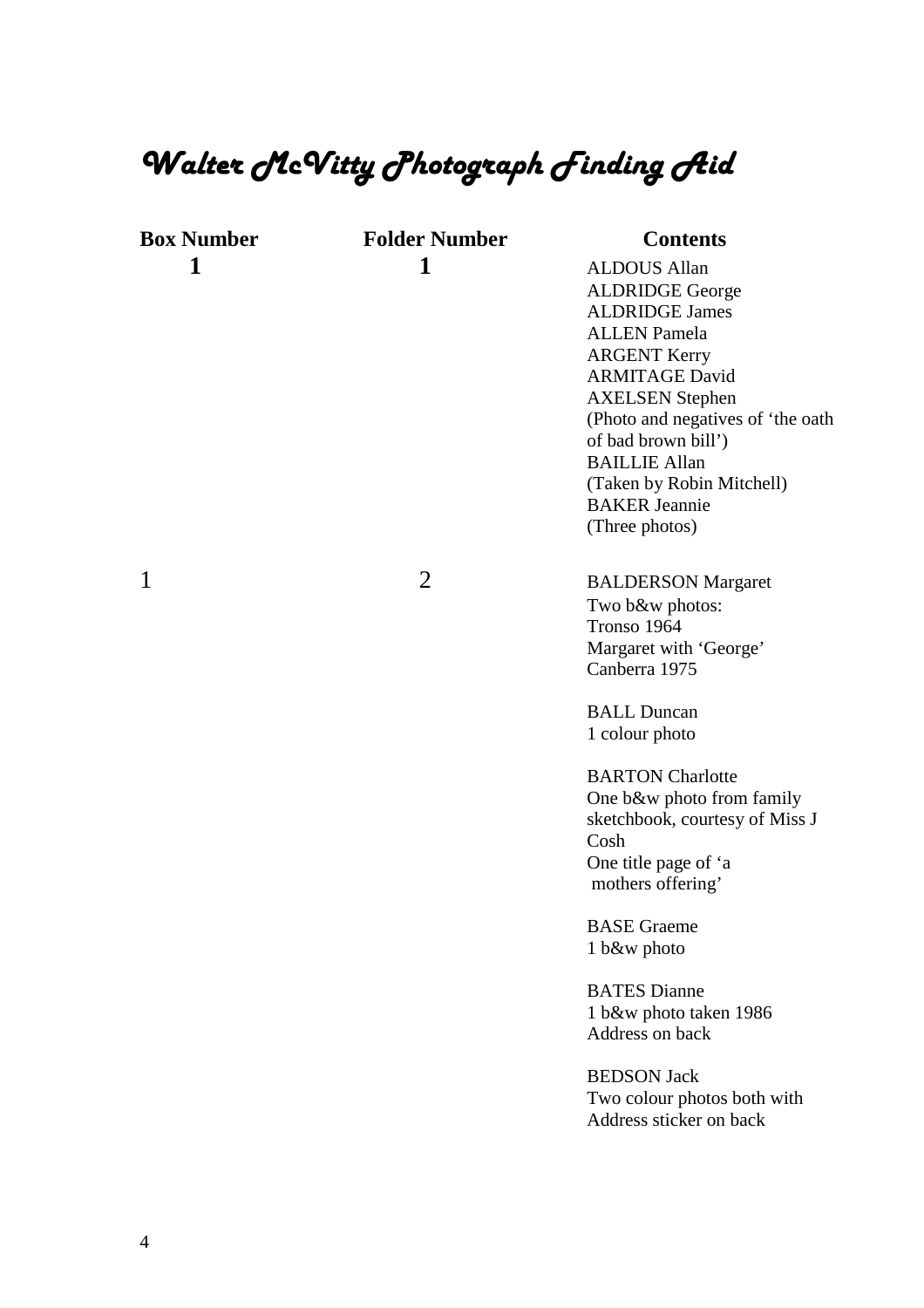## *Walter McVitty Photograph Finding Aid*

| <b>Box Number</b> |
|-------------------|
|                   |

**Folder Number Contents** 

**1 1 1 ALDOUS Allan** ALDRIDGE George ALDRIDGE James ALLEN Pamela ARGENT Kerry ARMITAGE David AXELSEN Stephen (Photo and negatives of 'the oath of bad brown bill') BAILLIE Allan (Taken by Robin Mitchell) BAKER Jeannie (Three photos) 1 2 BALDERSON Margaret Two b&w photos: Tronso 1964 Margaret with 'George' Canberra 1975 BALL Duncan 1 colour photo BARTON Charlotte One b&w photo from family sketchbook, courtesy of Miss J Cosh One title page of 'a mothers offering' BASE Graeme 1 b&w photo

> BATES Dianne 1 b&w photo taken 1986 Address on back

BEDSON Jack Two colour photos both with Address sticker on back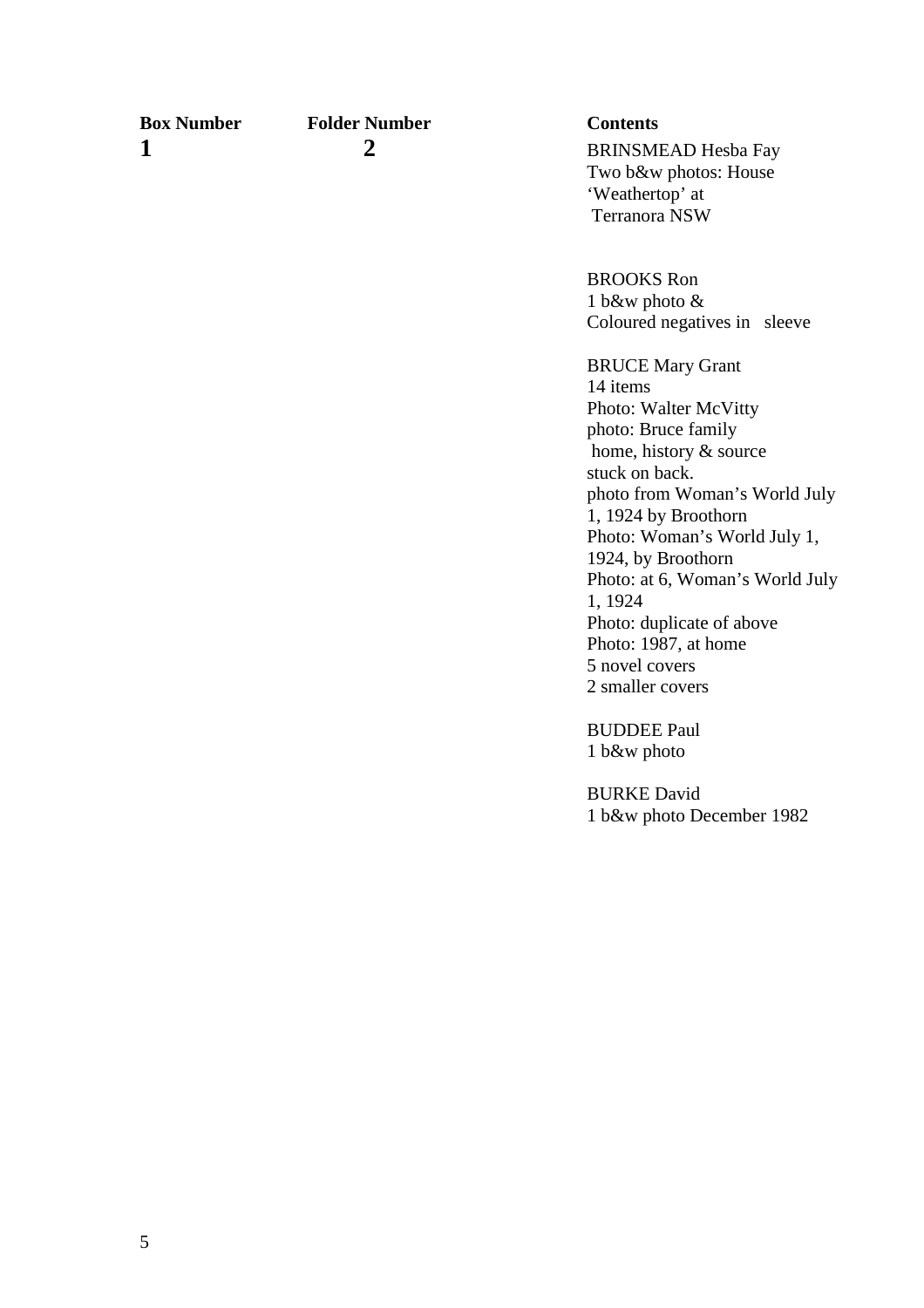**Box Number Folder Number Contents**

1 2 **2** BRINSMEAD Hesba Fay Two b&w photos: House 'Weathertop' at Terranora NSW

> BROOKS Ron 1 b&w photo & Coloured negatives in sleeve

BRUCE Mary Grant 14 items Photo: Walter McVitty photo: Bruce family home, history & source stuck on back. photo from Woman's World July 1, 1924 by Broothorn Photo: Woman's World July 1, 1924, by Broothorn Photo: at 6, Woman's World July 1, 1924 Photo: duplicate of above Photo: 1987, at home 5 novel covers 2 smaller covers

BUDDEE Paul 1 b&w photo

BURKE David 1 b&w photo December 1982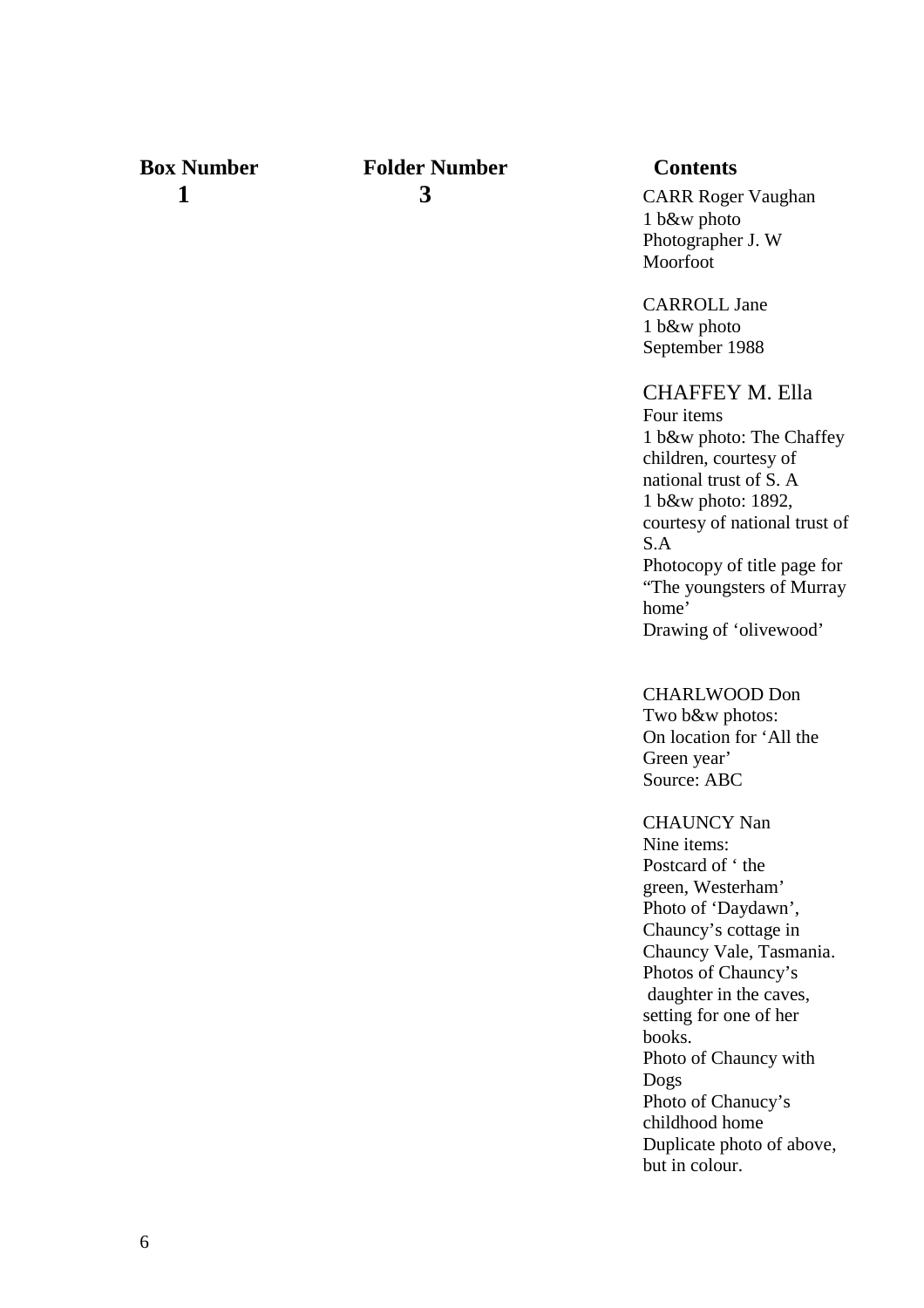## **Box Number Folder Number Contents**

**1** 3 CARR Roger Vaughan 1 b&w photo Photographer J. W Moorfoot

> CARROLL Jane 1 b&w photo September 1988

### CHAFFEY M. Ella

Four items 1 b&w photo: The Chaffey children, courtesy of national trust of S. A 1 b&w photo: 1892, courtesy of national trust of S.A Photocopy of title page for "The youngsters of Murray home' Drawing of 'olivewood'

CHARLWOOD Don

Two b&w photos: On location for 'All the Green year' Source: ABC

CHAUNCY Nan Nine items:

Postcard of ' the green, Westerham' Photo of 'Daydawn', Chauncy's cottage in Chauncy Vale, Tasmania. Photos of Chauncy's daughter in the caves, setting for one of her books. Photo of Chauncy with Dogs Photo of Chanucy's childhood home Duplicate photo of above, but in colour.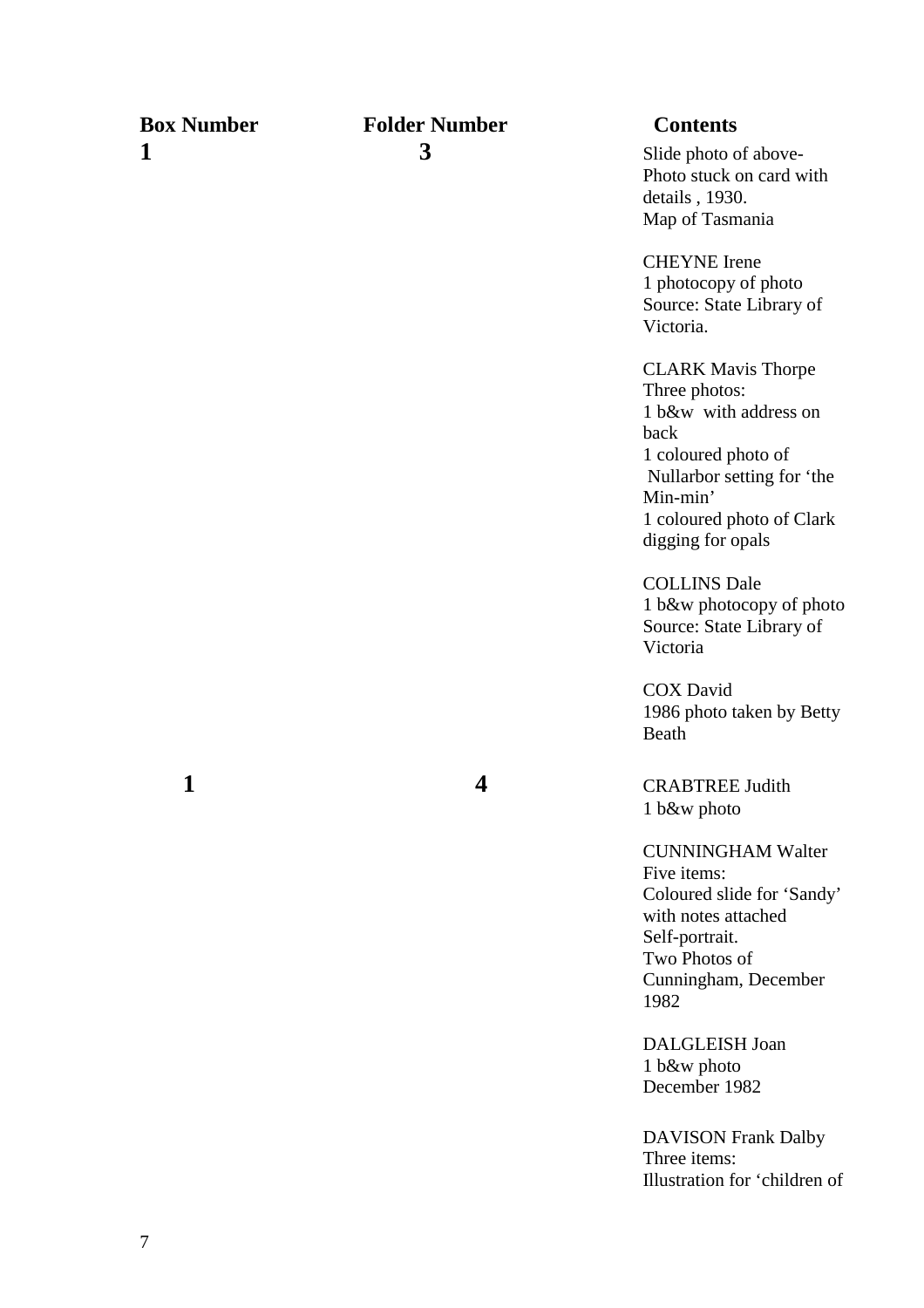**Box Number Folder Number Contents** 1 3 3 Slide photo of above-Photo stuck on card with details , 1930. Map of Tasmania CHEYNE Irene 1 photocopy of photo Source: State Library of Victoria. CLARK Mavis Thorpe Three photos: 1 b&w with address on back 1 coloured photo of Nullarbor setting for 'the Min-min' 1 coloured photo of Clark digging for opals COLLINS Dale 1 b&w photocopy of photo Source: State Library of Victoria COX David 1986 photo taken by Betty Beath 1 4 CRABTREE Judith 1 b&w photo CUNNINGHAM Walter Five items: Coloured slide for 'Sandy' with notes attached Self-portrait. Two Photos of Cunningham, December 1982 DALGLEISH Joan 1 b&w photo December 1982 DAVISON Frank Dalby Three items: Illustration for 'children of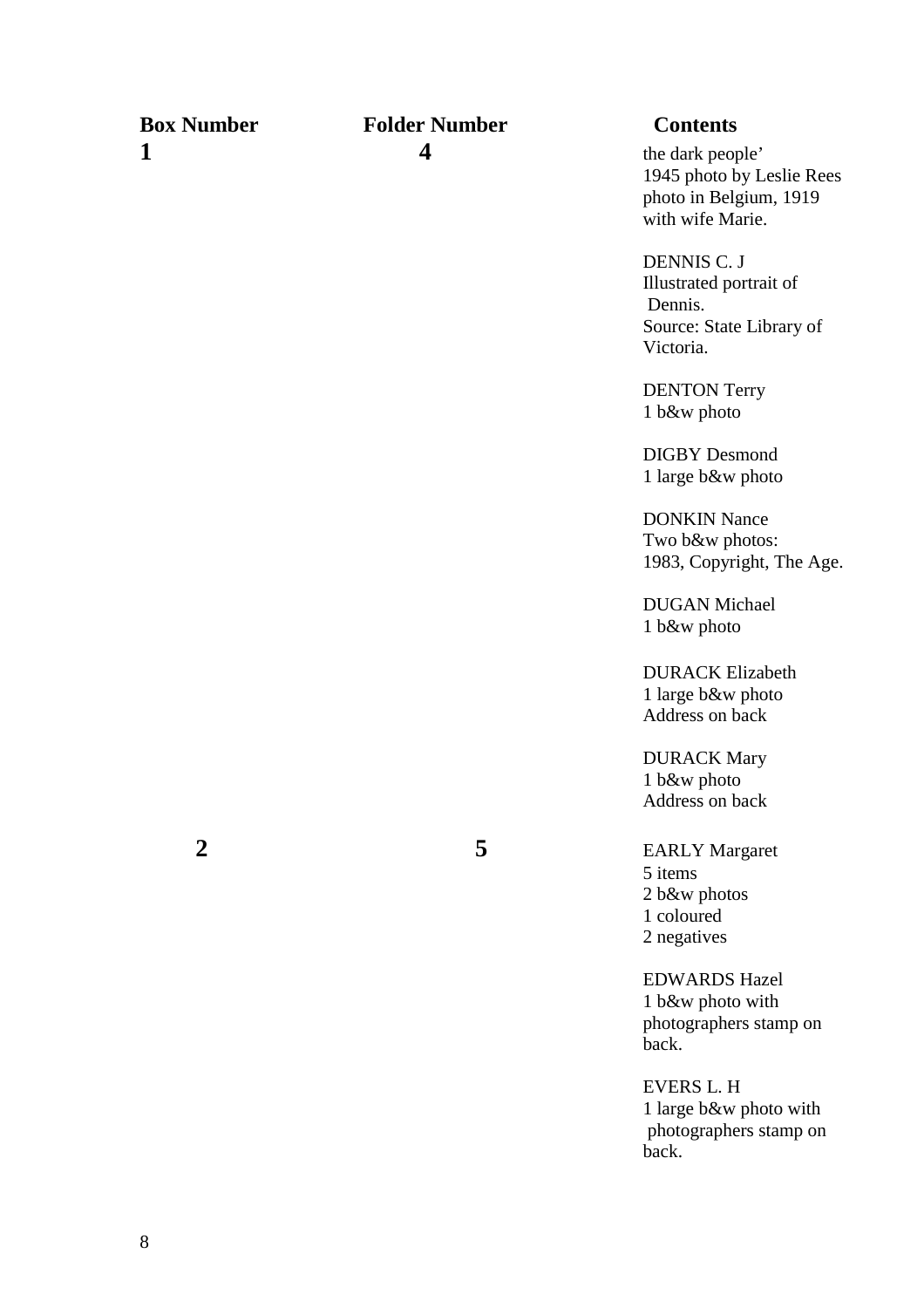### **Box Number Folder Number Contents 1 4 the dark people'**

1945 photo by Leslie Rees photo in Belgium, 1919 with wife Marie.

DENNIS C. J Illustrated portrait of Dennis. Source: State Library of Victoria.

DENTON Terry 1 b&w photo

DIGBY Desmond 1 large b&w photo

DONKIN Nance Two b&w photos: 1983, Copyright, The Age.

DUGAN Michael 1 b&w photo

 DURACK Elizabeth 1 large b&w photo Address on back

 DURACK Mary 1 b&w photo Address on back

 **2 5** EARLY Margaret 5 items 2 b&w photos 1 coloured 2 negatives

> EDWARDS Hazel 1 b&w photo with photographers stamp on back.

EVERS L. H 1 large b&w photo with photographers stamp on back.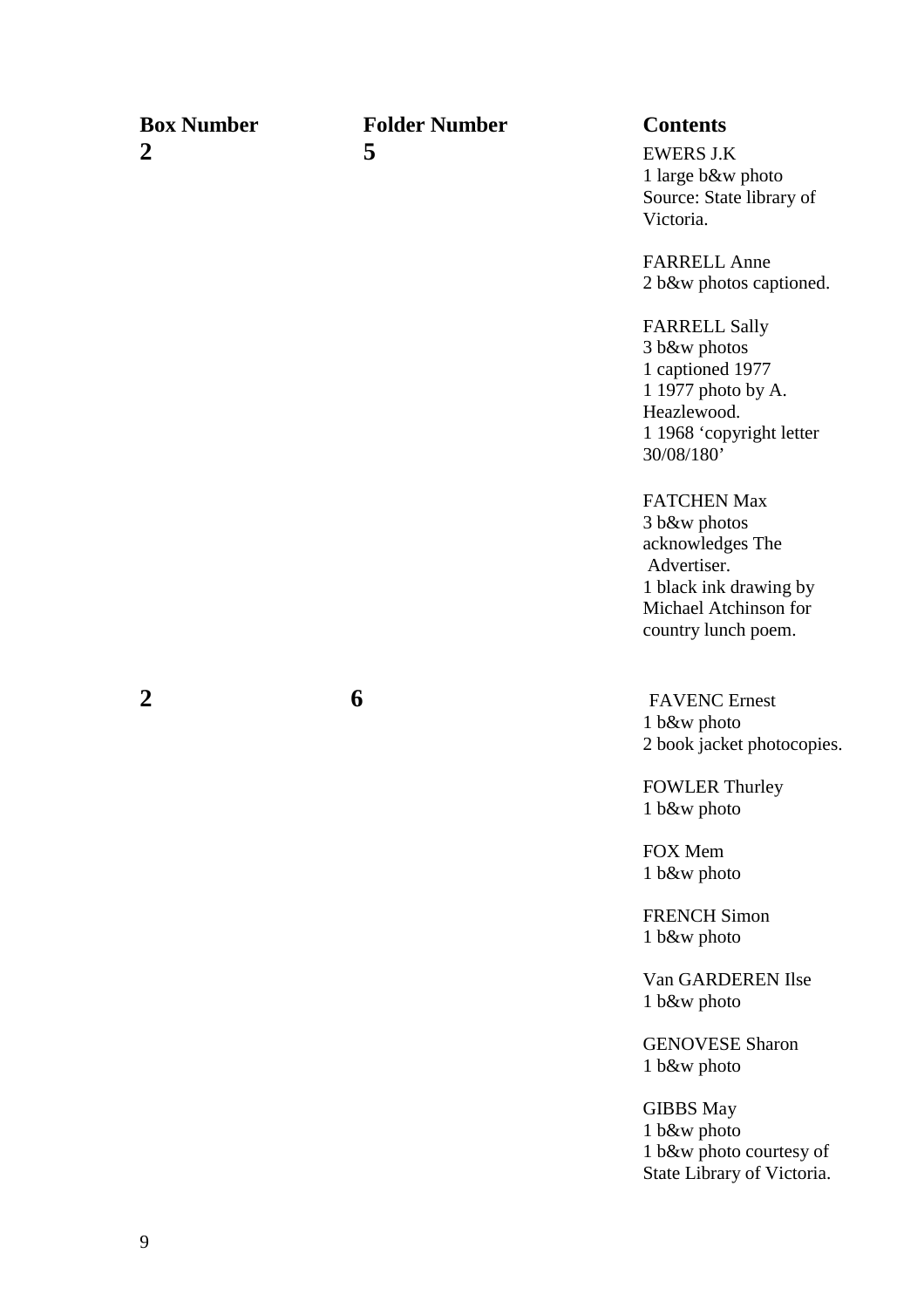**2 5** EWERS J.K

## **Box Number Folder Number Contents**

1 large b&w photo Source: State library of Victoria.

FARRELL Anne 2 b&w photos captioned.

FARRELL Sally 3 b&w photos 1 captioned 1977 1 1977 photo by A. Heazlewood. 1 1968 'copyright letter 30/08/180'

 FATCHEN Max 3 b&w photos acknowledges The Advertiser. 1 black ink drawing by Michael Atchinson for country lunch poem.

**2 6** FAVENC Ernest 1 b&w photo 2 book jacket photocopies.

> FOWLER Thurley 1 b&w photo

FOX Mem 1 b&w photo

FRENCH Simon 1 b&w photo

Van GARDEREN Ilse 1 b&w photo

GENOVESE Sharon 1 b&w photo

GIBBS May 1 b&w photo 1 b&w photo courtesy of State Library of Victoria.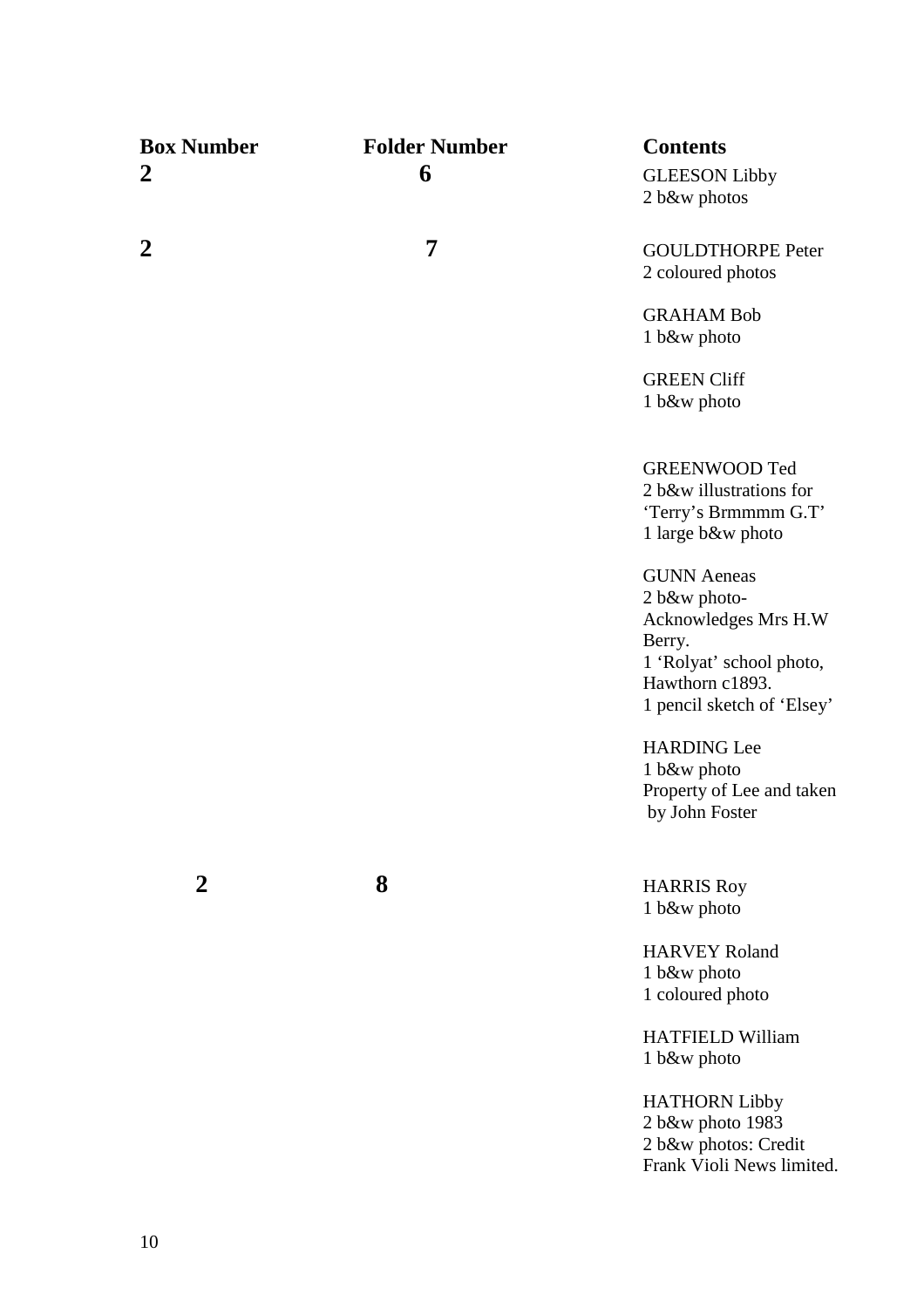| <b>Box Number</b> | <b>Folder Number</b> | <b>Contents</b>                           |
|-------------------|----------------------|-------------------------------------------|
| $\boldsymbol{2}$  | 6                    | <b>GLEESON Libby</b>                      |
|                   |                      | 2 b&w photos                              |
| 2                 | 7                    | <b>GOULDTHORPE Peter</b>                  |
|                   |                      | 2 coloured photos                         |
|                   |                      | <b>GRAHAM Bob</b>                         |
|                   |                      | 1 b&w photo                               |
|                   |                      | <b>GREEN Cliff</b>                        |
|                   |                      | 1 b&w photo                               |
|                   |                      |                                           |
|                   |                      | <b>GREENWOOD Ted</b>                      |
|                   |                      | 2 b&w illustrations for                   |
|                   |                      | 'Terry's Brmmmm G.T'<br>1 large b&w photo |
|                   |                      |                                           |
|                   |                      | <b>GUNN</b> Aeneas                        |
|                   |                      | 2 b&w photo-                              |
|                   |                      | Acknowledges Mrs H.W<br>Berry.            |
|                   |                      | 1 'Rolyat' school photo,                  |
|                   |                      | Hawthorn c1893.                           |
|                   |                      | 1 pencil sketch of 'Elsey'                |
|                   |                      | <b>HARDING Lee</b>                        |
|                   |                      | 1 b&w photo                               |
|                   |                      | Property of Lee and taken                 |
|                   |                      | by John Foster                            |
|                   |                      |                                           |
| 2                 | 8                    | <b>HARRIS Roy</b>                         |
|                   |                      | 1 b&w photo                               |
|                   |                      | <b>HARVEY Roland</b>                      |
|                   |                      | 1 b&w photo                               |
|                   |                      | 1 coloured photo                          |
|                   |                      | <b>HATFIELD William</b>                   |
|                   |                      | 1 b&w photo                               |
|                   |                      | <b>HATHORN Libby</b>                      |
|                   |                      | 2 b&w photo 1983                          |
|                   |                      | 2 b&w photos: Credit                      |
|                   |                      | Frank Violi News limited.                 |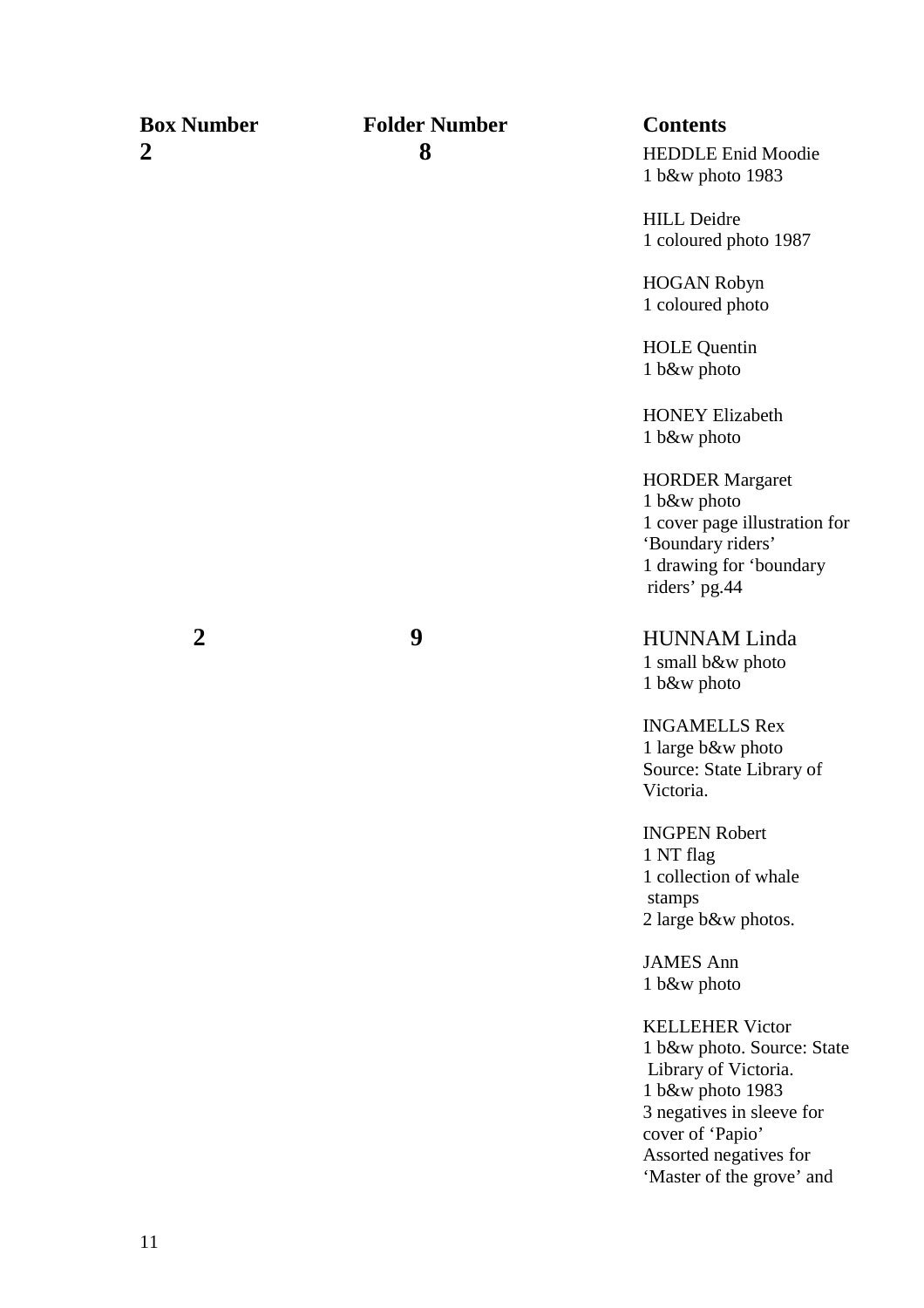| <b>Box Number</b> | <b>Folder Number</b> | <b>Contents</b>                                                                                                                                                                                          |
|-------------------|----------------------|----------------------------------------------------------------------------------------------------------------------------------------------------------------------------------------------------------|
| 2                 | 8                    | <b>HEDDLE Enid Moodie</b><br>1 b&w photo 1983                                                                                                                                                            |
|                   |                      | <b>HILL Deidre</b><br>1 coloured photo 1987                                                                                                                                                              |
|                   |                      | <b>HOGAN Robyn</b><br>1 coloured photo                                                                                                                                                                   |
|                   |                      | <b>HOLE</b> Quentin<br>1 b&w photo                                                                                                                                                                       |
|                   |                      | <b>HONEY Elizabeth</b><br>1 b&w photo                                                                                                                                                                    |
|                   |                      | <b>HORDER Margaret</b><br>1 b&w photo<br>1 cover page illustration for<br>'Boundary riders'<br>1 drawing for 'boundary<br>riders' pg.44                                                                  |
| $\overline{2}$    | 9                    | <b>HUNNAM Linda</b><br>1 small b&w photo<br>1 b&w photo                                                                                                                                                  |
|                   |                      | <b>INGAMELLS Rex</b><br>1 large b&w photo<br>Source: State Library of<br>Victoria.                                                                                                                       |
|                   |                      | <b>INGPEN Robert</b><br>1 NT flag<br>1 collection of whale<br>stamps<br>2 large b&w photos.                                                                                                              |
|                   |                      | <b>JAMES Ann</b><br>1 b&w photo                                                                                                                                                                          |
|                   |                      | <b>KELLEHER Victor</b><br>1 b&w photo. Source: State<br>Library of Victoria.<br>1 b&w photo 1983<br>3 negatives in sleeve for<br>cover of 'Papio'<br>Assorted negatives for<br>'Master of the grove' and |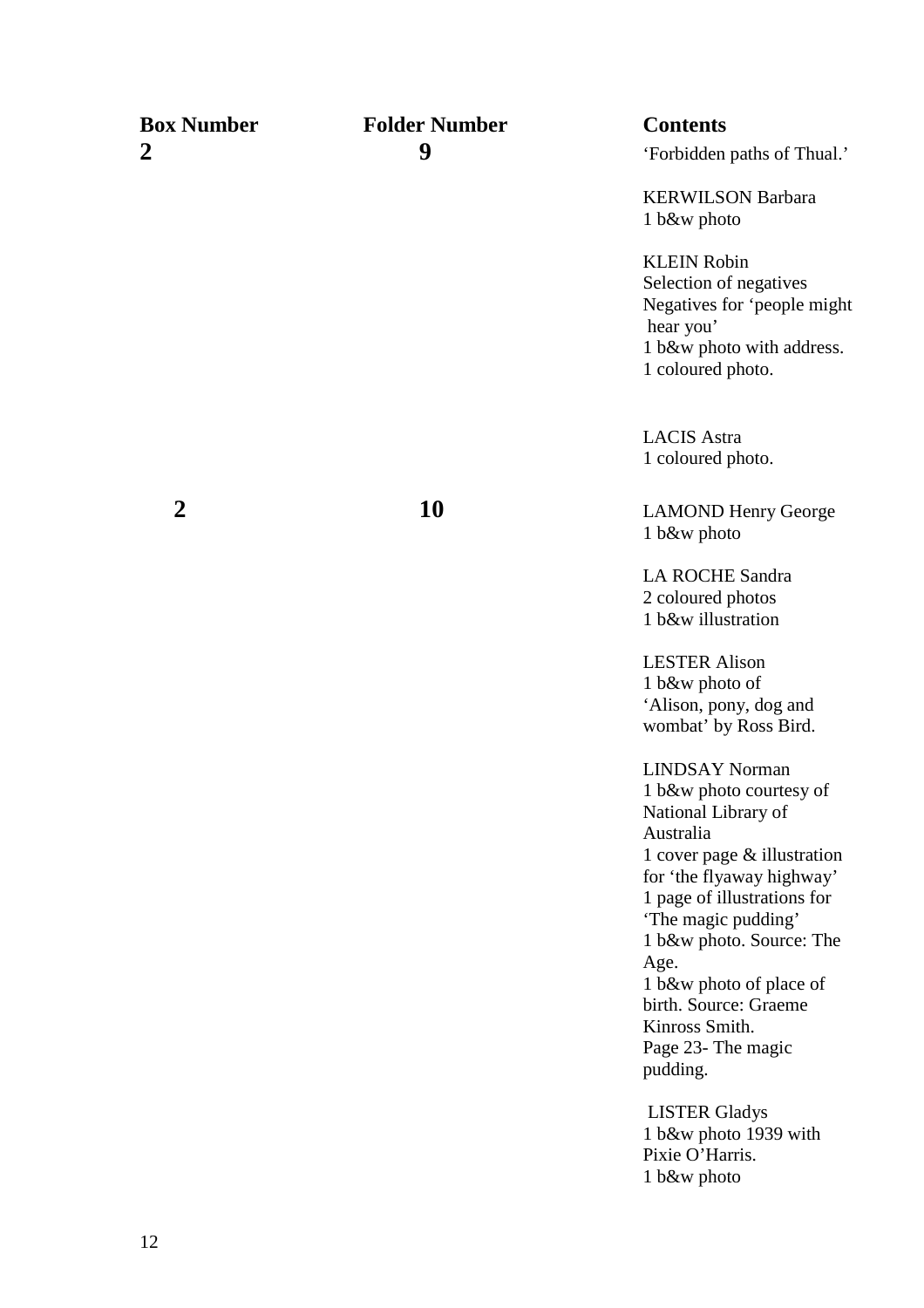| <b>Box Number</b> | <b>Folder Number</b> | <b>Contents</b>                                                                                                                                                                                                                                                                                                    |
|-------------------|----------------------|--------------------------------------------------------------------------------------------------------------------------------------------------------------------------------------------------------------------------------------------------------------------------------------------------------------------|
| $\boldsymbol{2}$  | 9                    | 'Forbidden paths of Thual.'                                                                                                                                                                                                                                                                                        |
|                   |                      | <b>KERWILSON Barbara</b><br>1 b&w photo                                                                                                                                                                                                                                                                            |
|                   |                      | <b>KLEIN Robin</b><br>Selection of negatives<br>Negatives for 'people might<br>hear you'<br>1 b&w photo with address.<br>1 coloured photo.                                                                                                                                                                         |
|                   |                      | <b>LACIS</b> Astra<br>1 coloured photo.                                                                                                                                                                                                                                                                            |
| $\boldsymbol{2}$  | 10                   | <b>LAMOND Henry George</b><br>1 b&w photo                                                                                                                                                                                                                                                                          |
|                   |                      | <b>LA ROCHE Sandra</b><br>2 coloured photos<br>1 b&w illustration                                                                                                                                                                                                                                                  |
|                   |                      | <b>LESTER Alison</b><br>1 b&w photo of<br>'Alison, pony, dog and<br>wombat' by Ross Bird.                                                                                                                                                                                                                          |
|                   |                      | <b>LINDSAY Norman</b><br>1 b&w photo courtesy of<br>National Library of<br>Australia<br>1 cover page $&$ illustration<br>for 'the flyaway highway'<br>1 page of illustrations for<br>'The magic pudding'<br>1 b&w photo. Source: The<br>Age.<br>1 b&w photo of place of<br>birth. Source: Graeme<br>Kinross Smith. |
|                   |                      | Page 23- The magic<br>pudding.                                                                                                                                                                                                                                                                                     |
|                   |                      | <b>LISTER Gladys</b><br>1 b&w photo 1939 with<br>Pixie O'Harris.                                                                                                                                                                                                                                                   |

1 b&w photo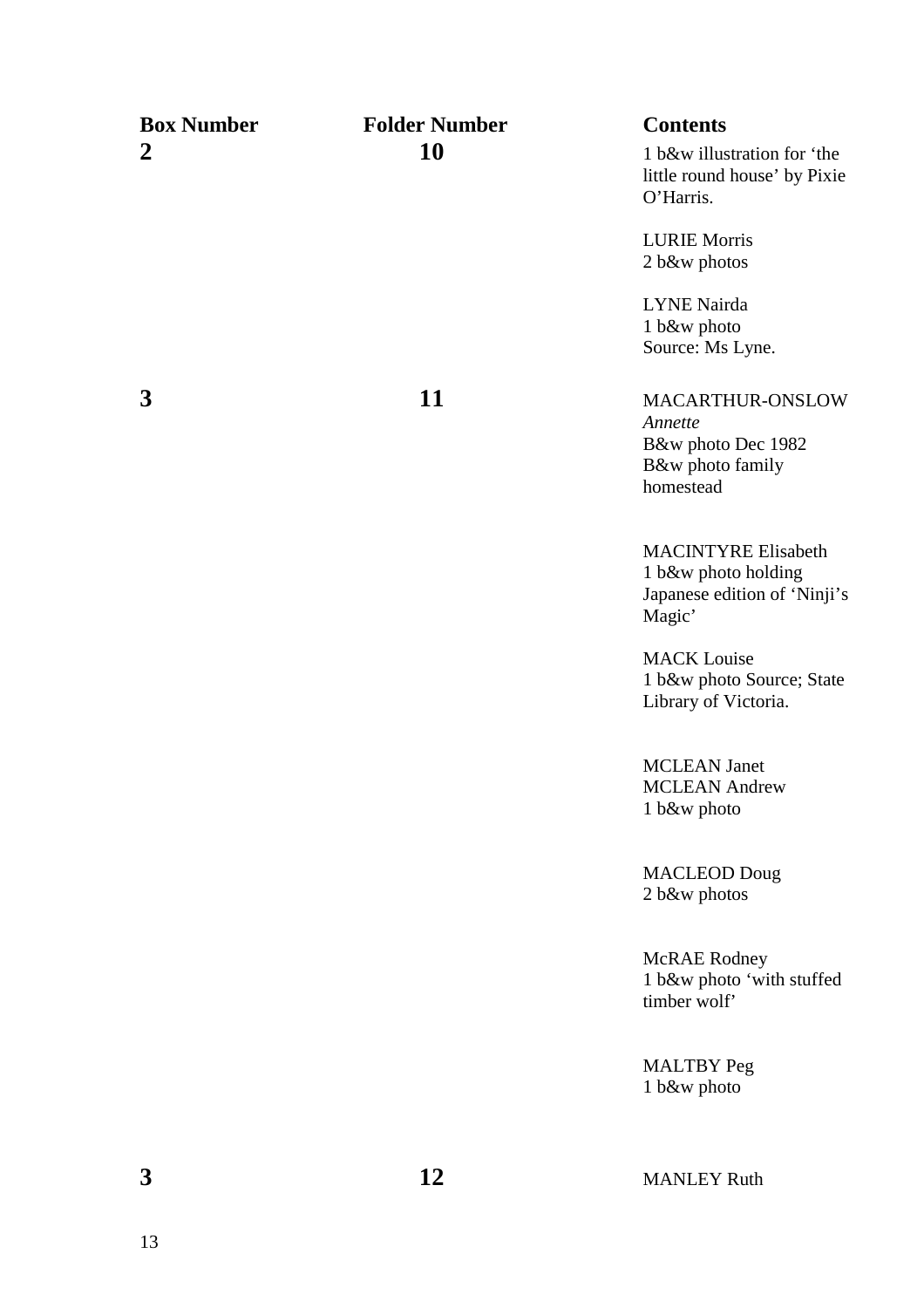| <b>Box Number</b> | <b>Folder Number</b> | <b>Contents</b>                                                                             |
|-------------------|----------------------|---------------------------------------------------------------------------------------------|
| $\boldsymbol{2}$  | 10                   | 1 b&w illustration for 'the<br>little round house' by Pixie<br>O'Harris.                    |
|                   |                      | <b>LURIE Morris</b><br>2 b&w photos                                                         |
|                   |                      | <b>LYNE</b> Nairda<br>1 b&w photo<br>Source: Ms Lyne.                                       |
| 3                 | 11                   | MACARTHUR-ONSLOW<br>Annette<br>B&w photo Dec 1982<br>B&w photo family<br>homestead          |
|                   |                      | <b>MACINTYRE Elisabeth</b><br>1 b&w photo holding<br>Japanese edition of 'Ninji's<br>Magic' |
|                   |                      | <b>MACK</b> Louise<br>1 b&w photo Source; State<br>Library of Victoria.                     |
|                   |                      | <b>MCLEAN</b> Janet<br><b>MCLEAN</b> Andrew<br>1 b&w photo                                  |
|                   |                      | <b>MACLEOD Doug</b><br>2 b&w photos                                                         |
|                   |                      | <b>McRAE</b> Rodney<br>1 b&w photo 'with stuffed<br>timber wolf'                            |
|                   |                      | <b>MALTBY</b> Peg<br>1 b&w photo                                                            |
| 3                 | 12                   | <b>MANLEY Ruth</b>                                                                          |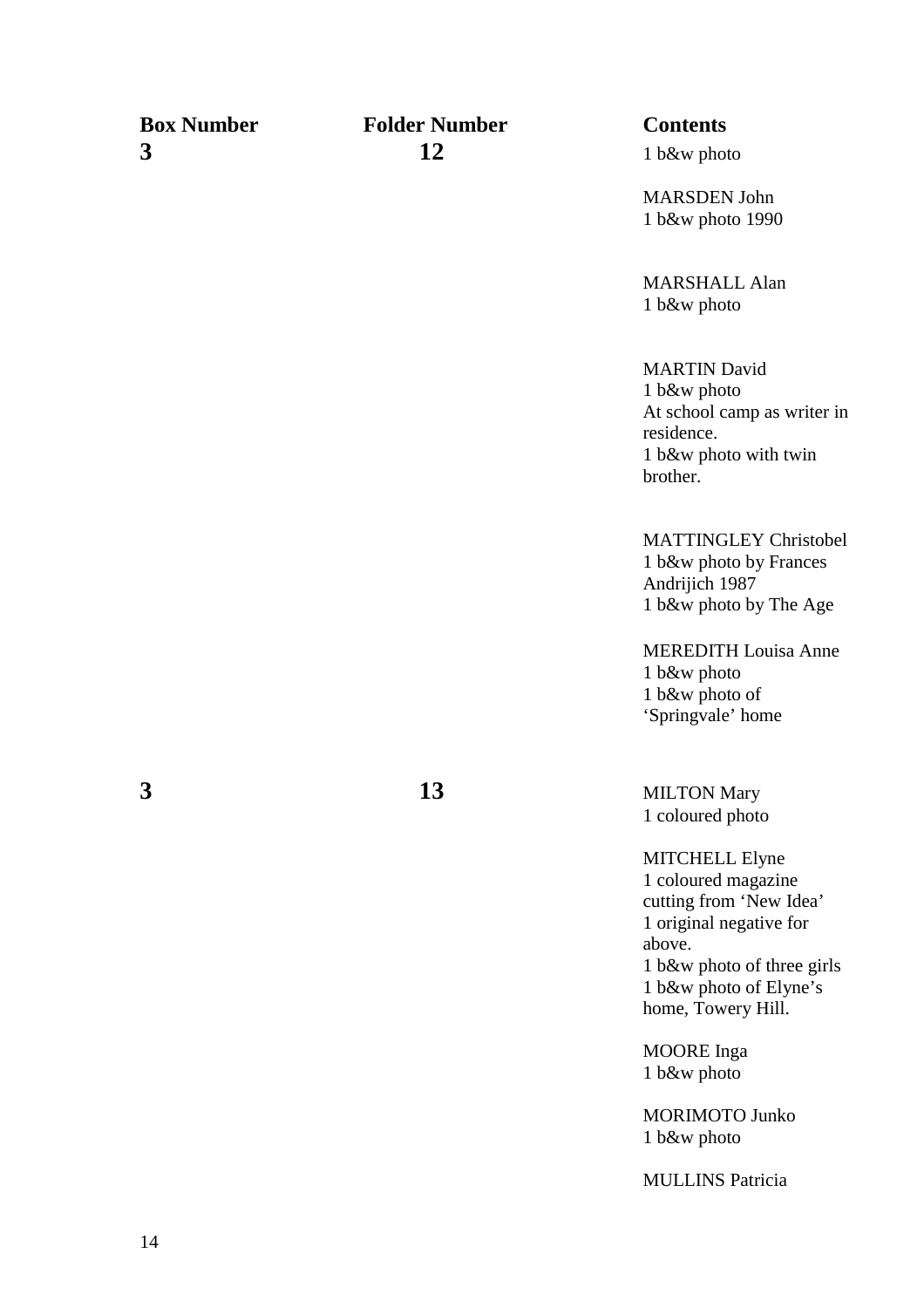MARSDEN John 1 b&w photo 1990

MARSHALL Alan 1 b&w photo

MARTIN David 1 b&w photo At school camp as writer in residence. 1 b&w photo with twin brother.

MATTINGLEY Christobel 1 b&w photo by Frances Andrijich 1987 1 b&w photo by The Age

MEREDITH Louisa Anne 1 b&w photo 1 b&w photo of 'Springvale' home

**3** 13 MILTON Mary 1 coloured photo

> MITCHELL Elyne 1 coloured magazine cutting from 'New Idea' 1 original negative for above. 1 b&w photo of three girls 1 b&w photo of Elyne's home, Towery Hill.

MOORE Inga 1 b&w photo

MORIMOTO Junko 1 b&w photo

MULLINS Patricia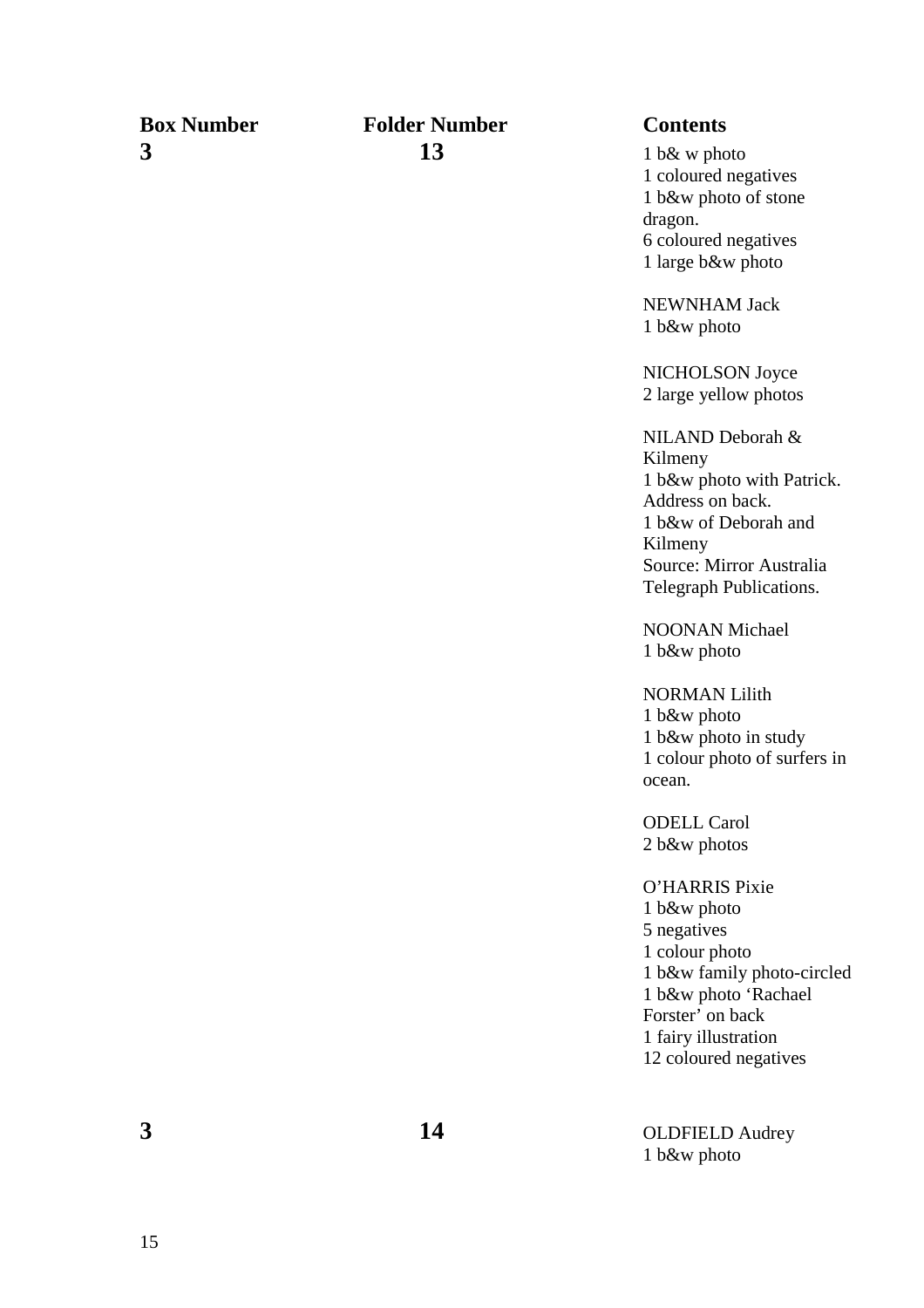### **Box Number Folder Number Contents 3** 13 1 b& w photo

1 coloured negatives 1 b&w photo of stone dragon. 6 coloured negatives 1 large b&w photo

NEWNHAM Jack 1 b&w photo

NICHOLSON Joyce 2 large yellow photos

NILAND Deborah & Kilmeny 1 b&w photo with Patrick. Address on back. 1 b&w of Deborah and Kilmeny Source: Mirror Australia Telegraph Publications.

NOONAN Michael 1 b&w photo

NORMAN Lilith 1 b&w photo 1 b&w photo in study 1 colour photo of surfers in ocean.

ODELL Carol 2 b&w photos

O'HARRIS Pixie 1 b&w photo 5 negatives 1 colour photo 1 b&w family photo-circled 1 b&w photo 'Rachael Forster' on back 1 fairy illustration 12 coloured negatives

**3 14** OLDFIELD Audrey 1 b&w photo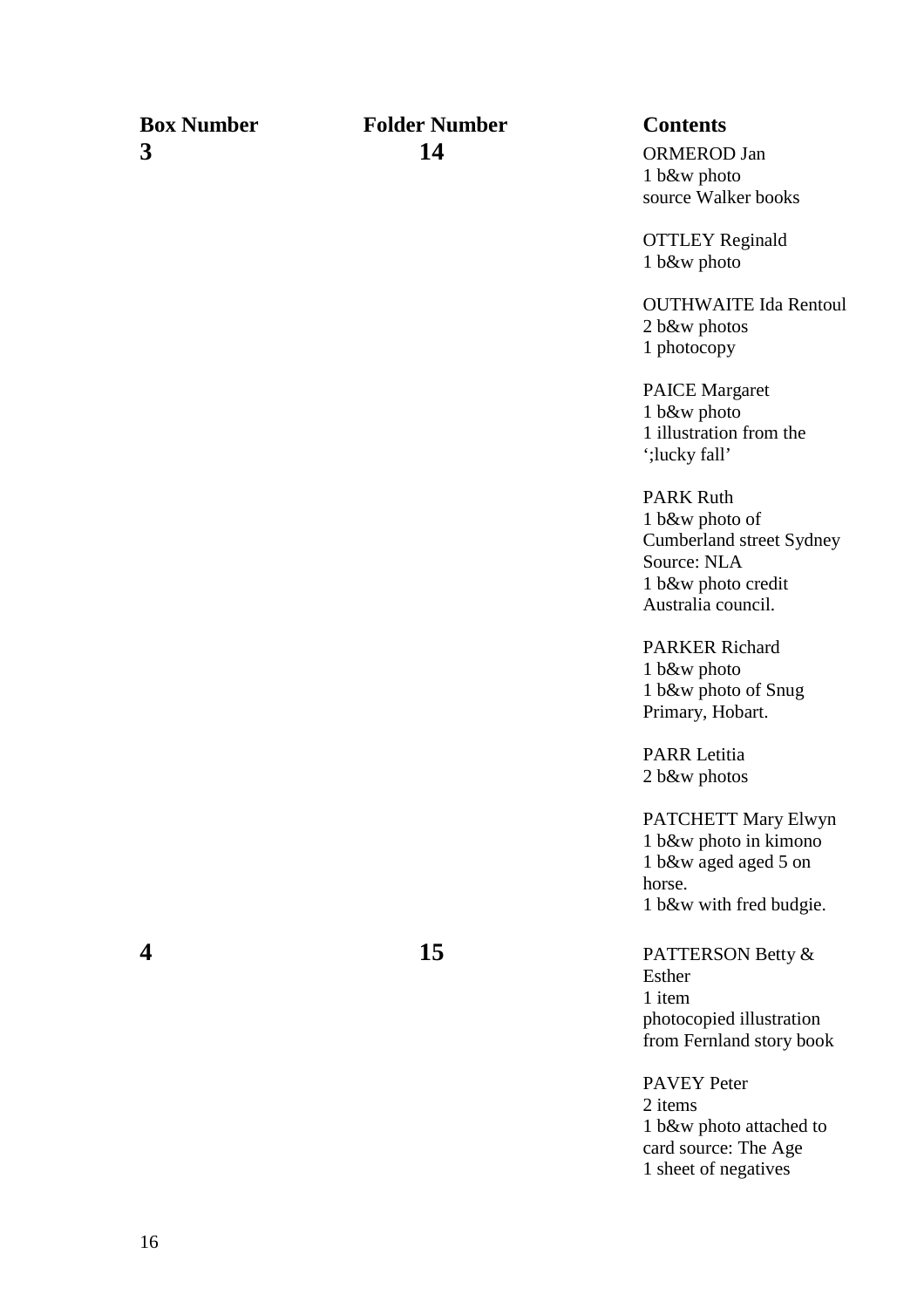1 b&w photo source Walker books

OTTLEY Reginald 1 b&w photo

OUTHWAITE Ida Rentoul 2 b&w photos 1 photocopy

PAICE Margaret 1 b&w photo 1 illustration from the ';lucky fall'

PARK Ruth 1 b&w photo of Cumberland street Sydney Source: NLA 1 b&w photo credit Australia council.

PARKER Richard 1 b&w photo 1 b&w photo of Snug Primary, Hobart.

PARR Letitia 2 b&w photos

PATCHETT Mary Elwyn 1 b&w photo in kimono 1 b&w aged aged 5 on horse. 1 b&w with fred budgie.

**4 15** PATTERSON Betty & Esther 1 item photocopied illustration from Fernland story book

> PAVEY Peter 2 items 1 b&w photo attached to card source: The Age 1 sheet of negatives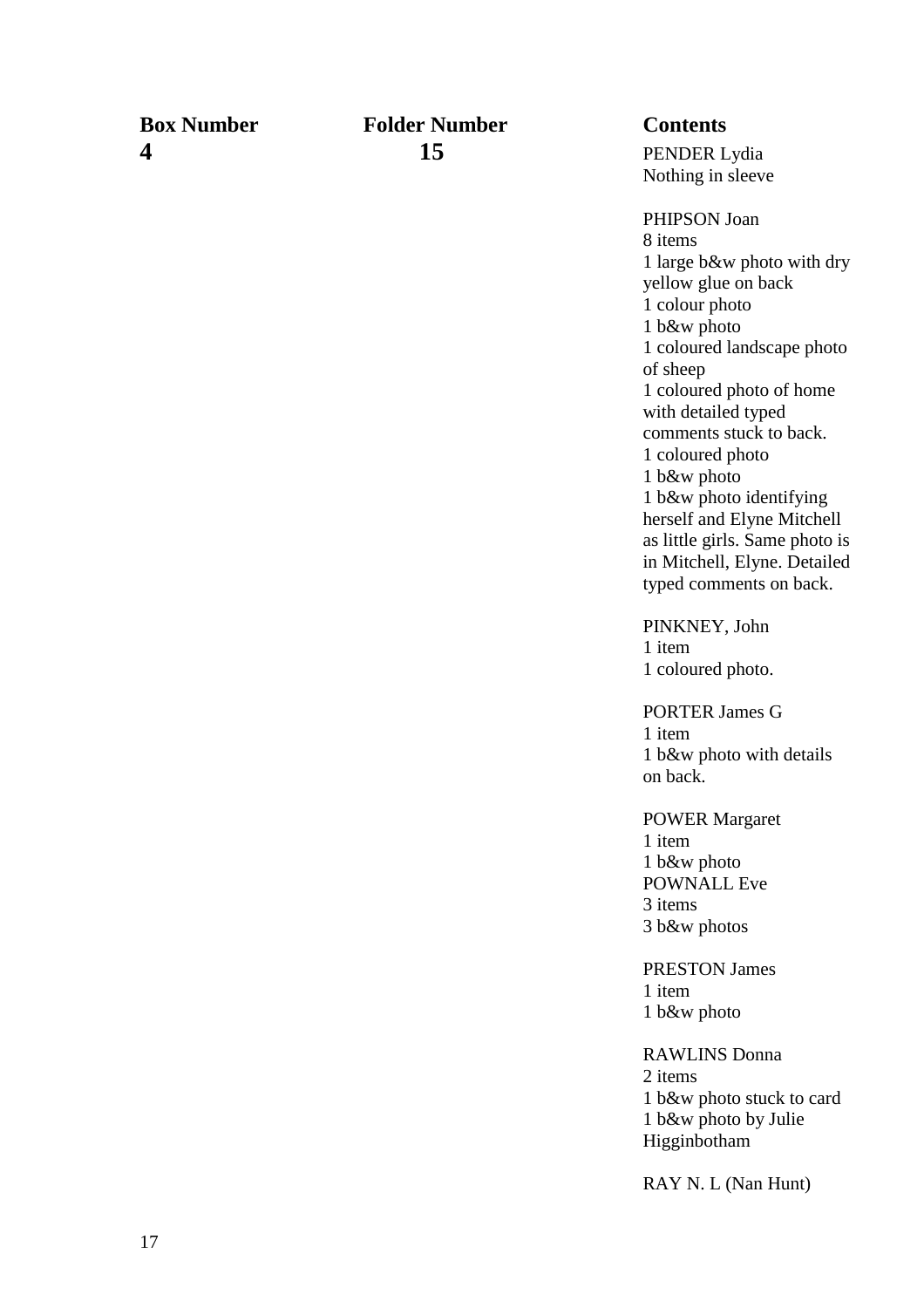### **Box Number Folder Number Contents 4 15 15 PENDER Lydia**

Nothing in sleeve

PHIPSON Joan 8 items 1 large b&w photo with dry yellow glue on back 1 colour photo 1 b&w photo 1 coloured landscape photo of sheep 1 coloured photo of home with detailed typed comments stuck to back. 1 coloured photo 1 b&w photo 1 b&w photo identifying herself and Elyne Mitchell as little girls. Same photo is in Mitchell, Elyne. Detailed typed comments on back.

PINKNEY, John 1 item 1 coloured photo.

PORTER James G 1 item 1 b&w photo with details on back.

POWER Margaret 1 item 1 b&w photo POWNALL Eve 3 items 3 b&w photos

PRESTON James 1 item 1 b&w photo

RAWLINS Donna 2 items 1 b&w photo stuck to card 1 b&w photo by Julie Higginbotham

RAY N. L (Nan Hunt)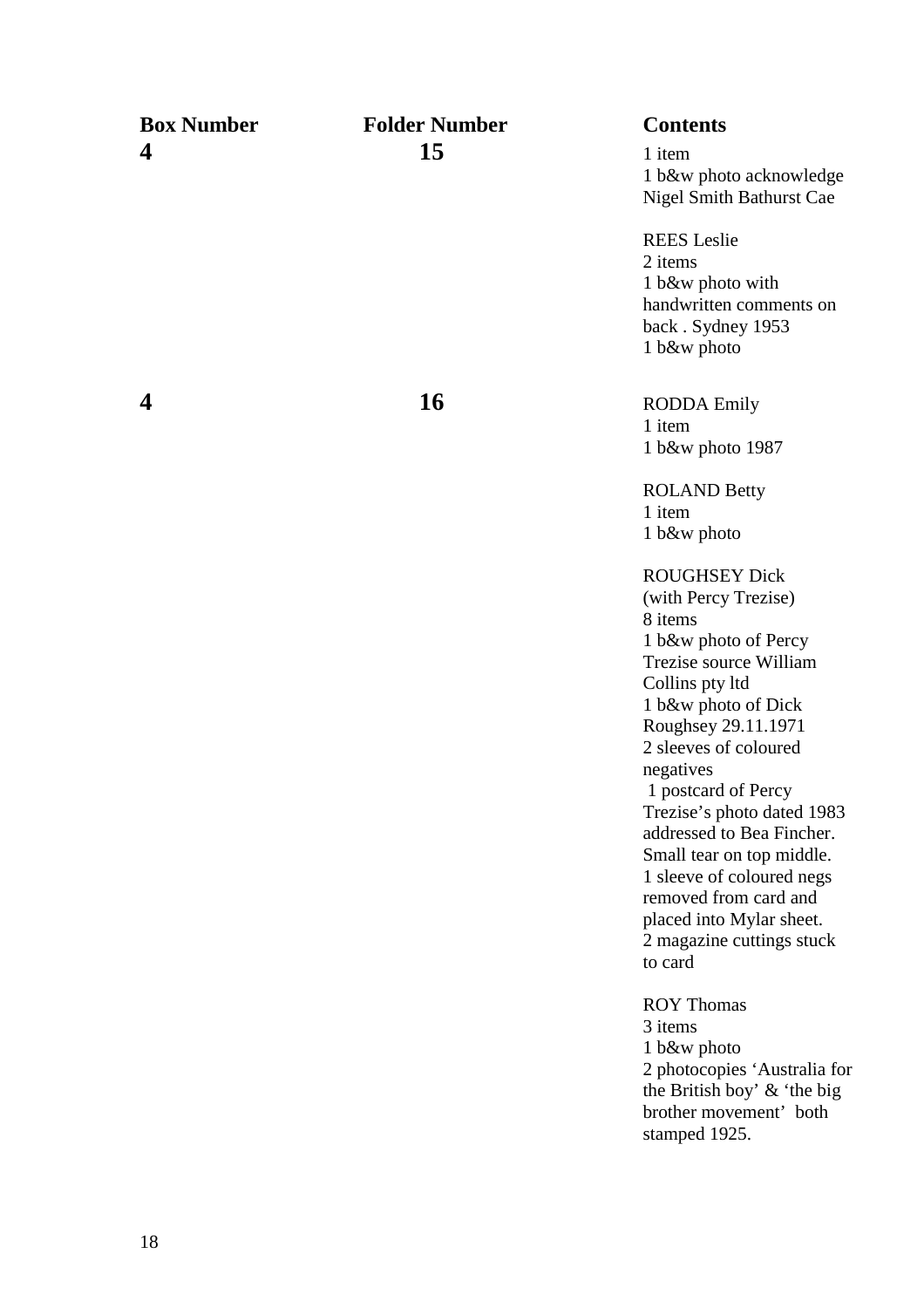| <b>Box Number</b> | <b>Folder Number</b> | <b>Contents</b>                                                                                                                                                                                                                                                                                                                                                                                                                                           |
|-------------------|----------------------|-----------------------------------------------------------------------------------------------------------------------------------------------------------------------------------------------------------------------------------------------------------------------------------------------------------------------------------------------------------------------------------------------------------------------------------------------------------|
| 4                 | 15                   | 1 item<br>1 b&w photo acknowledge<br>Nigel Smith Bathurst Cae                                                                                                                                                                                                                                                                                                                                                                                             |
|                   |                      | <b>REES</b> Leslie<br>2 items<br>1 b&w photo with<br>handwritten comments on<br>back. Sydney 1953<br>1 b&w photo                                                                                                                                                                                                                                                                                                                                          |
| 4                 | <b>16</b>            | <b>RODDA</b> Emily<br>1 item<br>1 b&w photo 1987                                                                                                                                                                                                                                                                                                                                                                                                          |
|                   |                      | <b>ROLAND Betty</b><br>1 item<br>1 b&w photo                                                                                                                                                                                                                                                                                                                                                                                                              |
|                   |                      | <b>ROUGHSEY Dick</b><br>(with Percy Trezise)<br>8 items<br>1 b&w photo of Percy<br>Trezise source William<br>Collins pty ltd<br>1 b&w photo of Dick<br>Roughsey 29.11.1971<br>2 sleeves of coloured<br>negatives<br>1 postcard of Percy<br>Trezise's photo dated 1983<br>addressed to Bea Fincher.<br>Small tear on top middle.<br>1 sleeve of coloured negs<br>removed from card and<br>placed into Mylar sheet.<br>2 magazine cuttings stuck<br>to card |
|                   |                      | <b>ROY Thomas</b><br>3 items<br>1 b&w photo<br>2 photocopies 'Australia for<br>the British boy' $\&$ 'the big<br>brother movement' both<br>stamped 1925.                                                                                                                                                                                                                                                                                                  |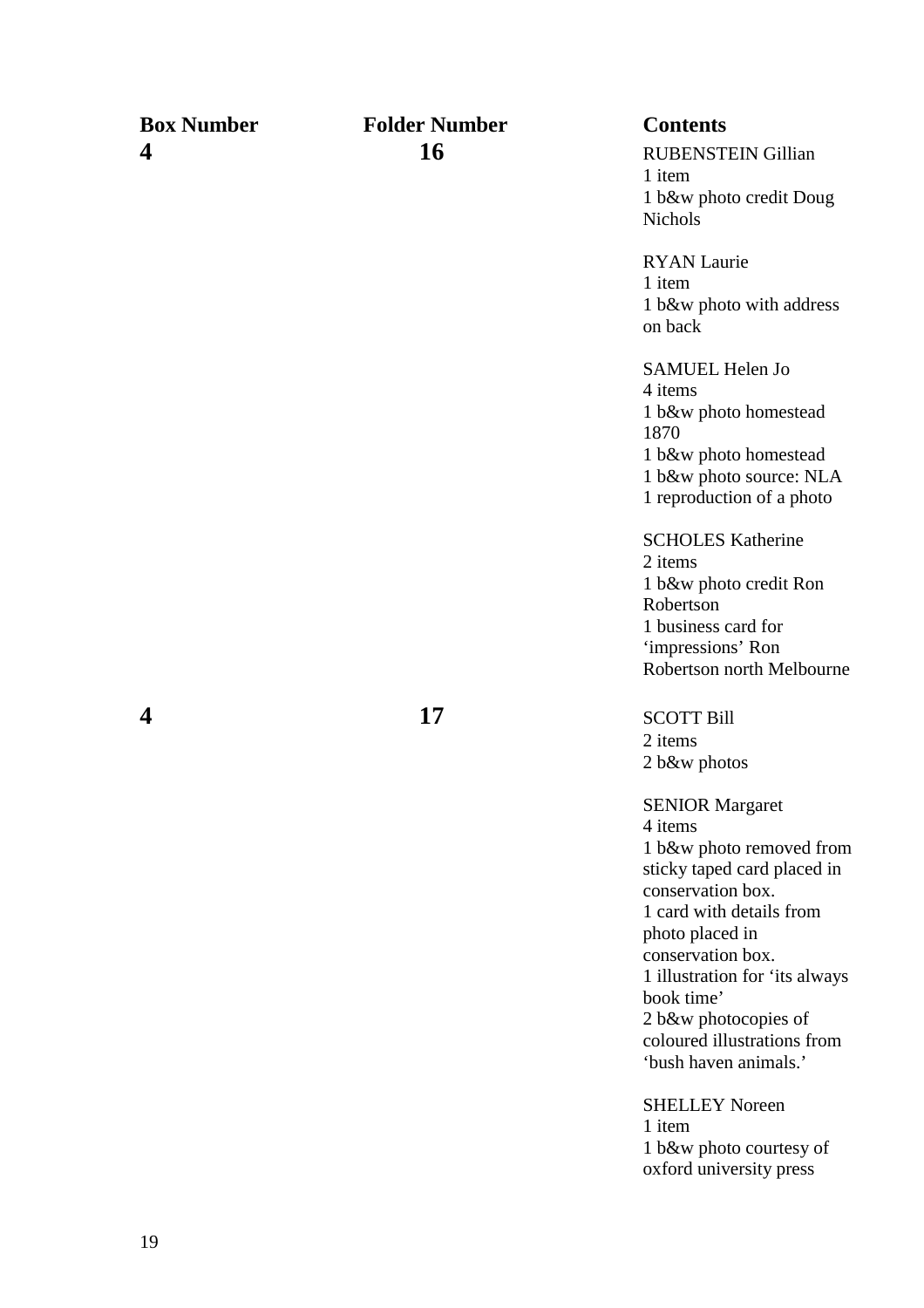| <b>Box Number</b> | <b>Folder Number</b> | <b>Contents</b>                                  |
|-------------------|----------------------|--------------------------------------------------|
| 4                 | 16                   | <b>RUBENSTEIN Gillian</b>                        |
|                   |                      | 1 item                                           |
|                   |                      | 1 b&w photo credit Doug                          |
|                   |                      | <b>Nichols</b>                                   |
|                   |                      | <b>RYAN</b> Laurie                               |
|                   |                      | 1 item                                           |
|                   |                      | 1 b&w photo with address<br>on back              |
|                   |                      | SAMUEL Helen Jo                                  |
|                   |                      | 4 items                                          |
|                   |                      | 1 b&w photo homestead<br>1870                    |
|                   |                      | 1 b&w photo homestead                            |
|                   |                      | 1 b&w photo source: NLA                          |
|                   |                      | 1 reproduction of a photo                        |
|                   |                      | <b>SCHOLES Katherine</b>                         |
|                   |                      | 2 items                                          |
|                   |                      | 1 b&w photo credit Ron<br>Robertson              |
|                   |                      | 1 business card for                              |
|                   |                      | 'impressions' Ron                                |
|                   |                      | Robertson north Melbourne                        |
| 4                 | 17                   | <b>SCOTT Bill</b>                                |
|                   |                      | 2 items                                          |
|                   |                      | 2 b&w photos                                     |
|                   |                      | <b>SENIOR Margaret</b>                           |
|                   |                      | 4 items                                          |
|                   |                      | 1 b&w photo removed from                         |
|                   |                      | sticky taped card placed in<br>conservation box. |
|                   |                      | 1 card with details from                         |
|                   |                      | photo placed in                                  |
|                   |                      | conservation box.                                |
|                   |                      | 1 illustration for 'its always                   |
|                   |                      | book time'                                       |
|                   |                      | 2 b&w photocopies of                             |
|                   |                      | coloured illustrations from                      |
|                   |                      | 'bush haven animals.'                            |
|                   |                      | <b>SHELLEY Noreen</b>                            |
|                   |                      | 1 item<br>1 b&w photo courtesy of                |
|                   |                      | oxford university press                          |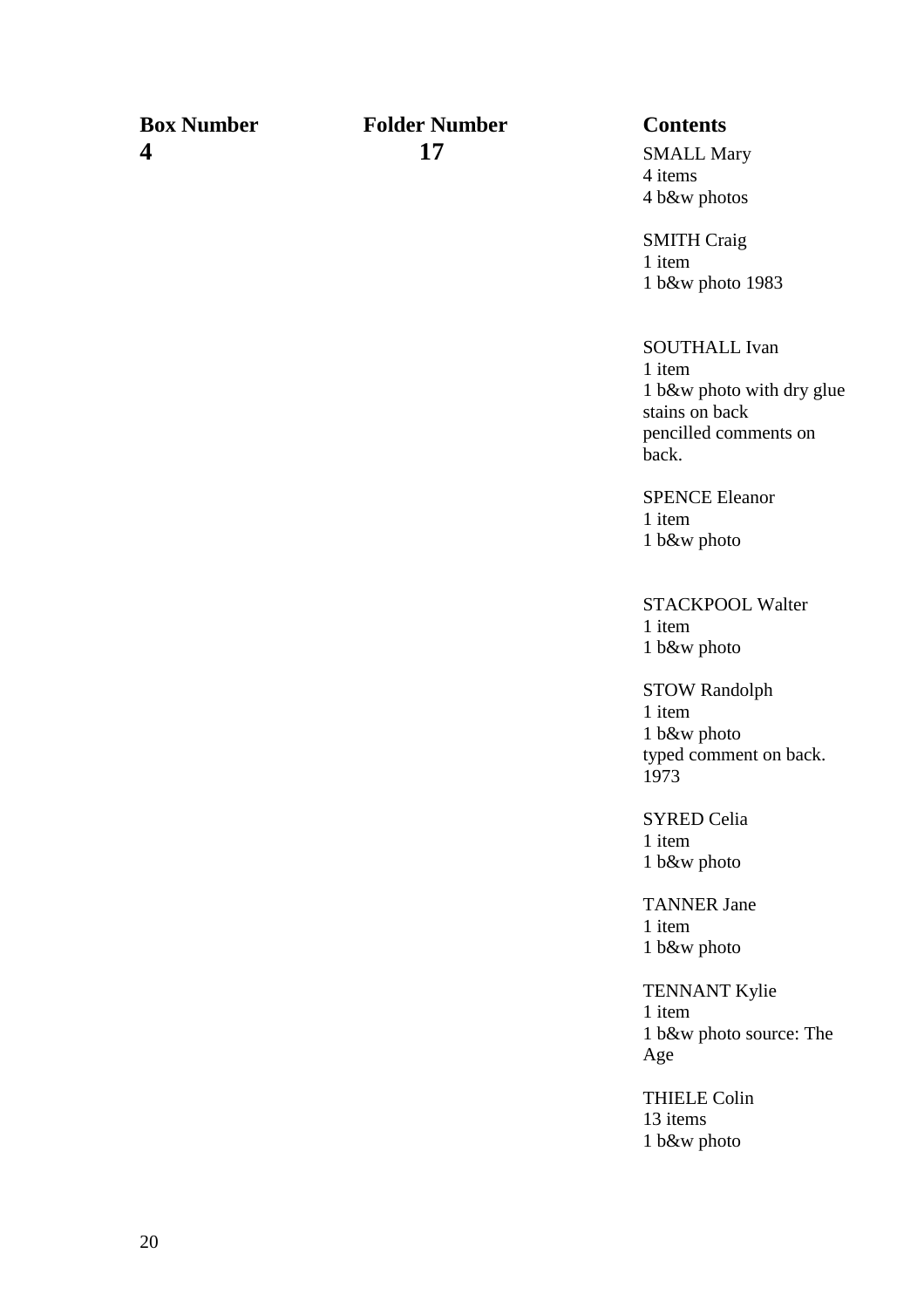### **Box Number Folder Number Contents 4 17** SMALL Mary

4 items 4 b&w photos

SMITH Craig 1 item 1 b&w photo 1983

SOUTHALL Ivan 1 item 1 b&w photo with dry glue stains on back pencilled comments on back.

SPENCE Eleanor 1 item 1 b&w photo

STACKPOOL Walter 1 item 1 b&w photo

STOW Randolph 1 item 1 b&w photo typed comment on back. 1973

SYRED Celia 1 item 1 b&w photo

TANNER Jane 1 item 1 b&w photo

TENNANT Kylie 1 item 1 b&w photo source: The Age

 THIELE Colin 13 items 1 b&w photo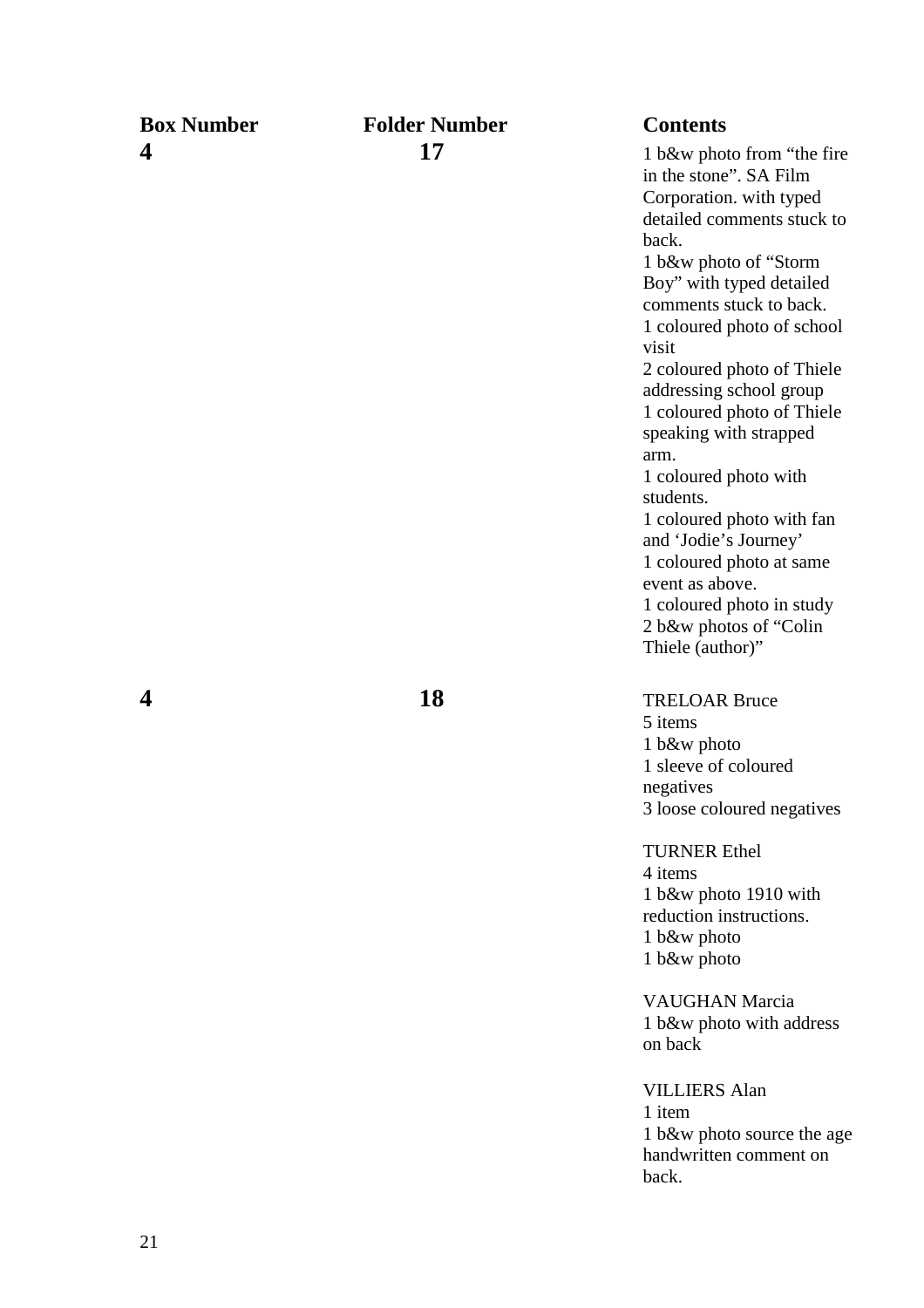### **Box Number Folder Number Contents 4** 17 17 1 b&w photo from "the fire

 in the stone". SA Film Corporation. with typed detailed comments stuck to back. 1 b&w photo of "Storm Boy" with typed detailed comments stuck to back. 1 coloured photo of school visit 2 coloured photo of Thiele addressing school group 1 coloured photo of Thiele speaking with strapped arm. 1 coloured photo with students. 1 coloured photo with fan and 'Jodie's Journey' 1 coloured photo at same event as above. 1 coloured photo in study 2 b&w photos of "Colin Thiele (author)"

**4 18** TRELOAR Bruce 5 items 1 b&w photo 1 sleeve of coloured negatives

3 loose coloured negatives

TURNER Ethel 4 items 1 b&w photo 1910 with reduction instructions. 1 b&w photo 1 b&w photo

VAUGHAN Marcia 1 b&w photo with address on back

 VILLIERS Alan 1 item 1 b&w photo source the age handwritten comment on back.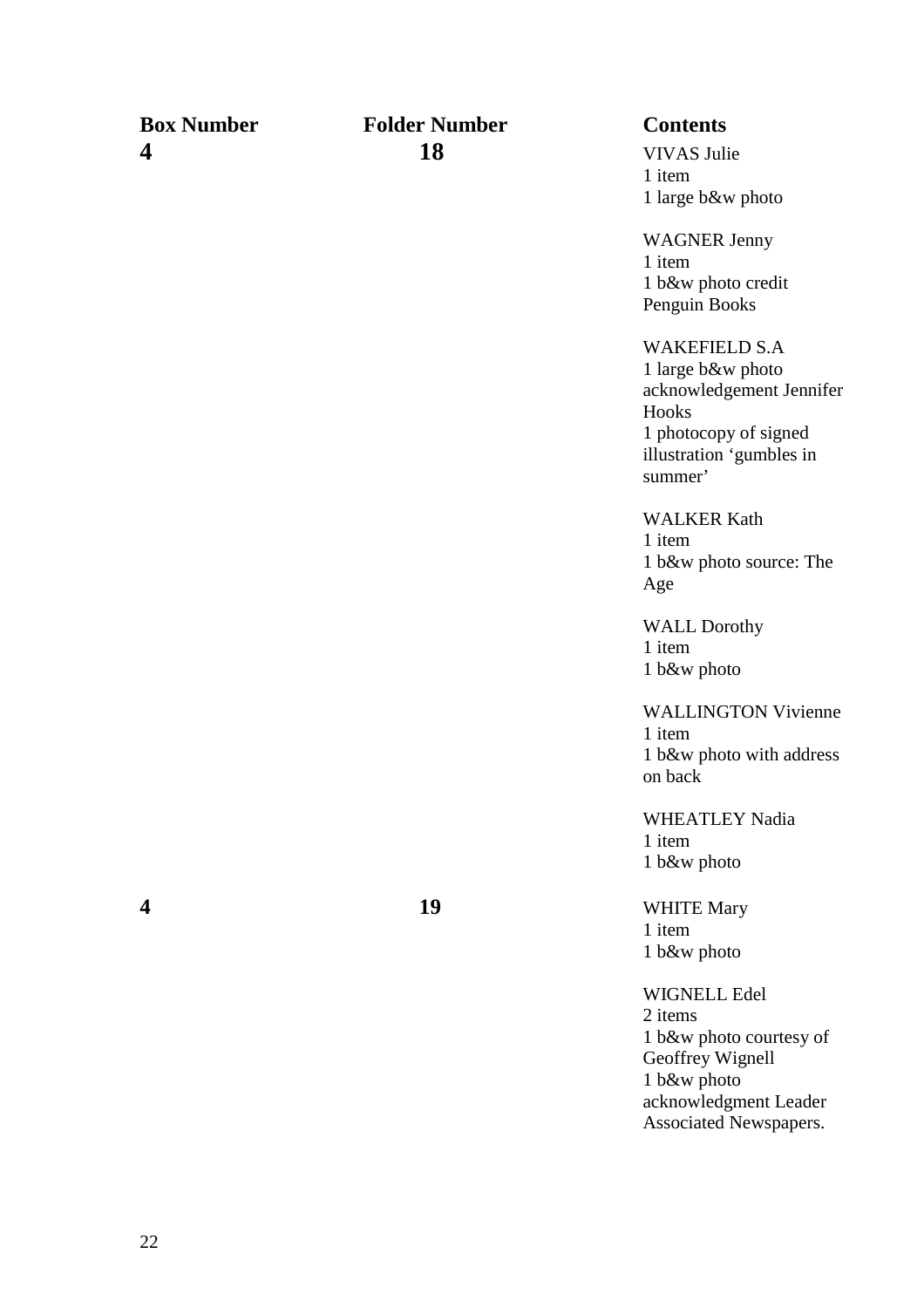### **Box Number Folder Number Contents 4 18** VIVAS Julie

1 item 1 large b&w photo

WAGNER Jenny 1 item 1 b&w photo credit Penguin Books

WAKEFIELD S.A

1 large b&w photo acknowledgement Jennifer Hooks 1 photocopy of signed illustration 'gumbles in summer'

WALKER Kath 1 item 1 b&w photo source: The Age

 WALL Dorothy 1 item 1 b&w photo

WALLINGTON Vivienne 1 item 1 b&w photo with address on back

WHEATLEY Nadia 1 item 1 b&w photo

**4** 19 **19 WHITE Mary** 1 item 1 b&w photo

> WIGNELL Edel 2 items 1 b&w photo courtesy of Geoffrey Wignell 1 b&w photo acknowledgment Leader Associated Newspapers.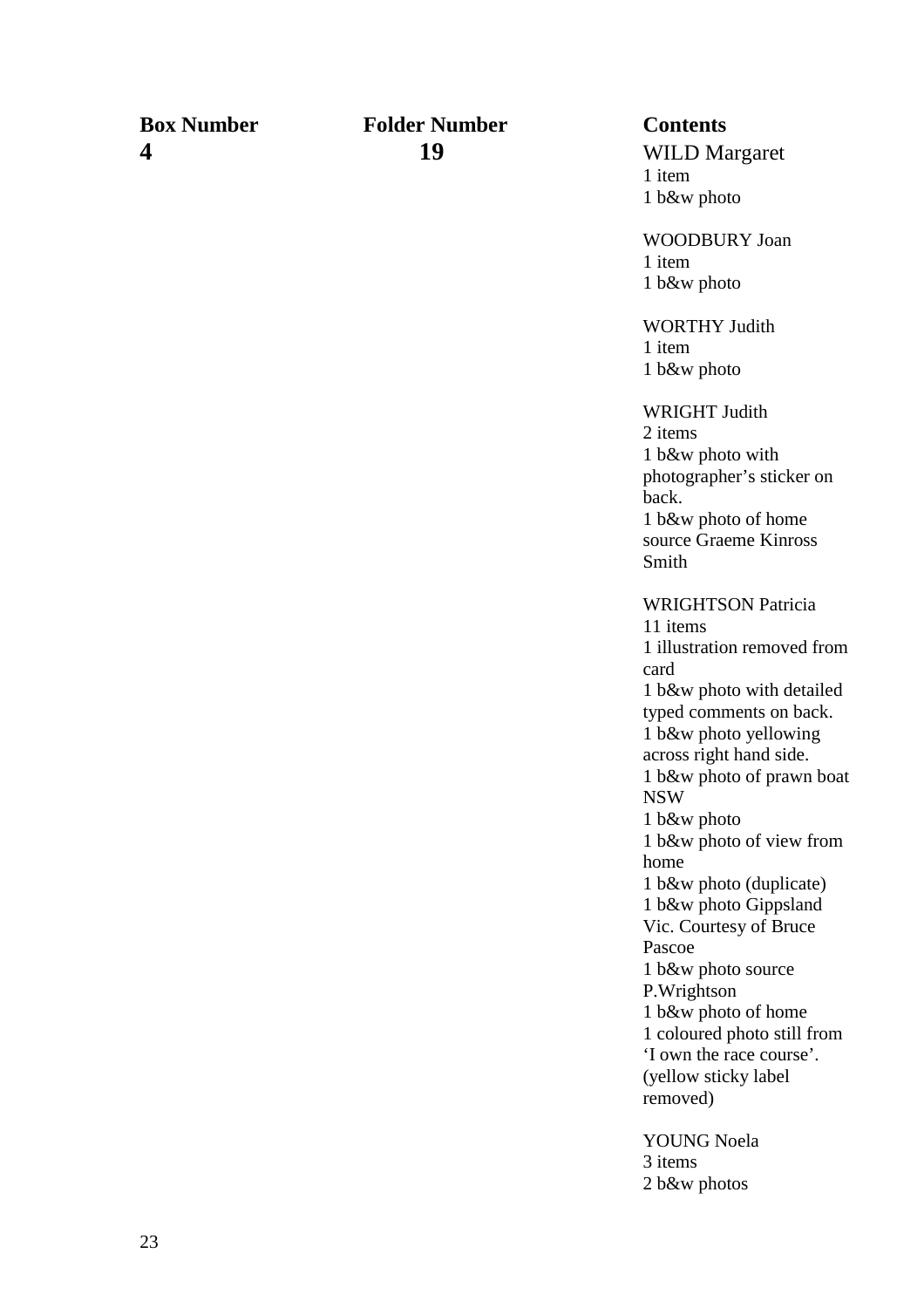### **Box Number Folder Number Contents 4 19** WILD Margaret

1 item 1 b&w photo

WOODBURY Joan 1 item 1 b&w photo

WORTHY Judith 1 item 1 b&w photo

WRIGHT Judith 2 items 1 b&w photo with photographer's sticker on back. 1 b&w photo of home source Graeme Kinross Smith WRIGHTSON Patricia 11 items 1 illustration removed from card 1 b&w photo with detailed typed comments on back. 1 b&w photo yellowing across right hand side. 1 b&w photo of prawn boat NSW 1 b&w photo

1 b&w photo of view from home 1 b&w photo (duplicate) 1 b&w photo Gippsland Vic. Courtesy of Bruce Pascoe 1 b&w photo source P.Wrightson 1 b&w photo of home 1 coloured photo still from 'I own the race course'. (yellow sticky label

removed)

YOUNG Noela 3 items 2 b&w photos